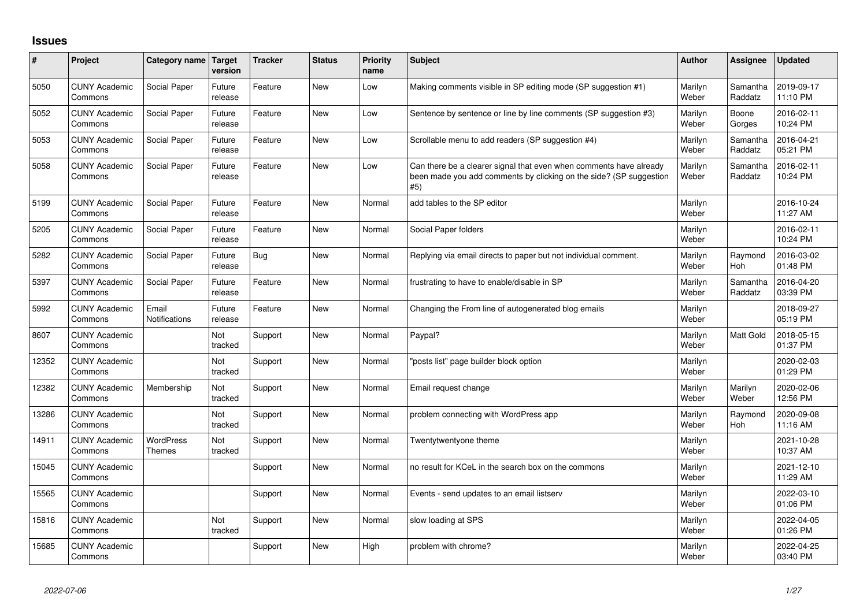## **Issues**

| #     | Project                         | Category name                     | <b>Target</b><br>version | <b>Tracker</b> | <b>Status</b> | <b>Priority</b><br>name | <b>Subject</b>                                                                                                                                  | <b>Author</b>    | Assignee              | <b>Updated</b>         |
|-------|---------------------------------|-----------------------------------|--------------------------|----------------|---------------|-------------------------|-------------------------------------------------------------------------------------------------------------------------------------------------|------------------|-----------------------|------------------------|
| 5050  | <b>CUNY Academic</b><br>Commons | Social Paper                      | Future<br>release        | Feature        | <b>New</b>    | Low                     | Making comments visible in SP editing mode (SP suggestion #1)                                                                                   | Marilyn<br>Weber | Samantha<br>Raddatz   | 2019-09-17<br>11:10 PM |
| 5052  | <b>CUNY Academic</b><br>Commons | Social Paper                      | Future<br>release        | Feature        | <b>New</b>    | Low                     | Sentence by sentence or line by line comments (SP suggestion #3)                                                                                | Marilyn<br>Weber | Boone<br>Gorges       | 2016-02-11<br>10:24 PM |
| 5053  | <b>CUNY Academic</b><br>Commons | Social Paper                      | Future<br>release        | Feature        | <b>New</b>    | Low                     | Scrollable menu to add readers (SP suggestion #4)                                                                                               | Marilyn<br>Weber | Samantha<br>Raddatz   | 2016-04-21<br>05:21 PM |
| 5058  | <b>CUNY Academic</b><br>Commons | Social Paper                      | Future<br>release        | Feature        | <b>New</b>    | Low                     | Can there be a clearer signal that even when comments have already<br>been made you add comments by clicking on the side? (SP suggestion<br>#5) | Marilyn<br>Weber | Samantha<br>Raddatz   | 2016-02-11<br>10:24 PM |
| 5199  | <b>CUNY Academic</b><br>Commons | Social Paper                      | Future<br>release        | Feature        | <b>New</b>    | Normal                  | add tables to the SP editor                                                                                                                     | Marilyn<br>Weber |                       | 2016-10-24<br>11:27 AM |
| 5205  | <b>CUNY Academic</b><br>Commons | Social Paper                      | Future<br>release        | Feature        | <b>New</b>    | Normal                  | Social Paper folders                                                                                                                            | Marilyn<br>Weber |                       | 2016-02-11<br>10:24 PM |
| 5282  | <b>CUNY Academic</b><br>Commons | Social Paper                      | Future<br>release        | <b>Bug</b>     | <b>New</b>    | Normal                  | Replying via email directs to paper but not individual comment.                                                                                 | Marilyn<br>Weber | Raymond<br>Hoh        | 2016-03-02<br>01:48 PM |
| 5397  | <b>CUNY Academic</b><br>Commons | Social Paper                      | Future<br>release        | Feature        | <b>New</b>    | Normal                  | frustrating to have to enable/disable in SP                                                                                                     | Marilyn<br>Weber | Samantha<br>Raddatz   | 2016-04-20<br>03:39 PM |
| 5992  | <b>CUNY Academic</b><br>Commons | Email<br><b>Notifications</b>     | Future<br>release        | Feature        | <b>New</b>    | Normal                  | Changing the From line of autogenerated blog emails                                                                                             | Marilyn<br>Weber |                       | 2018-09-27<br>05:19 PM |
| 8607  | <b>CUNY Academic</b><br>Commons |                                   | Not<br>tracked           | Support        | <b>New</b>    | Normal                  | Paypal?                                                                                                                                         | Marilyn<br>Weber | <b>Matt Gold</b>      | 2018-05-15<br>01:37 PM |
| 12352 | <b>CUNY Academic</b><br>Commons |                                   | Not<br>tracked           | Support        | <b>New</b>    | Normal                  | posts list" page builder block option                                                                                                           | Marilyn<br>Weber |                       | 2020-02-03<br>01:29 PM |
| 12382 | <b>CUNY Academic</b><br>Commons | Membership                        | Not<br>tracked           | Support        | <b>New</b>    | Normal                  | Email request change                                                                                                                            | Marilyn<br>Weber | Marilyn<br>Weber      | 2020-02-06<br>12:56 PM |
| 13286 | <b>CUNY Academic</b><br>Commons |                                   | Not<br>tracked           | Support        | <b>New</b>    | Normal                  | problem connecting with WordPress app                                                                                                           | Marilyn<br>Weber | Raymond<br><b>Hoh</b> | 2020-09-08<br>11:16 AM |
| 14911 | <b>CUNY Academic</b><br>Commons | <b>WordPress</b><br><b>Themes</b> | Not<br>tracked           | Support        | <b>New</b>    | Normal                  | Twentytwentyone theme                                                                                                                           | Marilyn<br>Weber |                       | 2021-10-28<br>10:37 AM |
| 15045 | <b>CUNY Academic</b><br>Commons |                                   |                          | Support        | <b>New</b>    | Normal                  | no result for KCeL in the search box on the commons                                                                                             | Marilyn<br>Weber |                       | 2021-12-10<br>11:29 AM |
| 15565 | <b>CUNY Academic</b><br>Commons |                                   |                          | Support        | <b>New</b>    | Normal                  | Events - send updates to an email listserv                                                                                                      | Marilyn<br>Weber |                       | 2022-03-10<br>01:06 PM |
| 15816 | <b>CUNY Academic</b><br>Commons |                                   | Not<br>tracked           | Support        | <b>New</b>    | Normal                  | slow loading at SPS                                                                                                                             | Marilyn<br>Weber |                       | 2022-04-05<br>01:26 PM |
| 15685 | <b>CUNY Academic</b><br>Commons |                                   |                          | Support        | <b>New</b>    | High                    | problem with chrome?                                                                                                                            | Marilyn<br>Weber |                       | 2022-04-25<br>03:40 PM |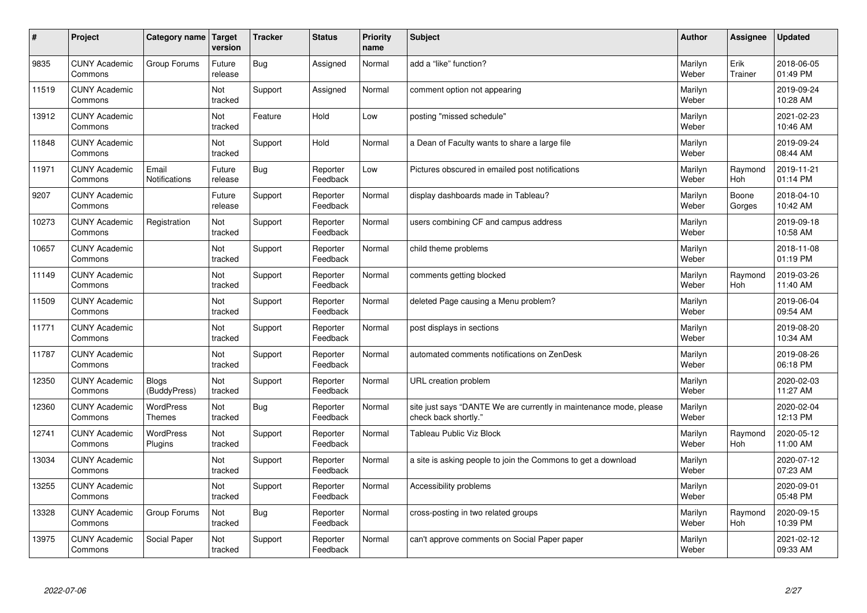| #     | Project                         | Category name               | Target<br>version | <b>Tracker</b> | <b>Status</b>        | <b>Priority</b><br>name | <b>Subject</b>                                                                             | <b>Author</b>    | Assignee              | <b>Updated</b>         |
|-------|---------------------------------|-----------------------------|-------------------|----------------|----------------------|-------------------------|--------------------------------------------------------------------------------------------|------------------|-----------------------|------------------------|
| 9835  | <b>CUNY Academic</b><br>Commons | Group Forums                | Future<br>release | Bug            | Assigned             | Normal                  | add a "like" function?                                                                     | Marilyn<br>Weber | Erik<br>Trainer       | 2018-06-05<br>01:49 PM |
| 11519 | <b>CUNY Academic</b><br>Commons |                             | Not<br>tracked    | Support        | Assigned             | Normal                  | comment option not appearing                                                               | Marilyn<br>Weber |                       | 2019-09-24<br>10:28 AM |
| 13912 | <b>CUNY Academic</b><br>Commons |                             | Not<br>tracked    | Feature        | Hold                 | Low                     | posting "missed schedule"                                                                  | Marilyn<br>Weber |                       | 2021-02-23<br>10:46 AM |
| 11848 | <b>CUNY Academic</b><br>Commons |                             | Not<br>tracked    | Support        | Hold                 | Normal                  | a Dean of Faculty wants to share a large file                                              | Marilyn<br>Weber |                       | 2019-09-24<br>08:44 AM |
| 11971 | <b>CUNY Academic</b><br>Commons | Email<br>Notifications      | Future<br>release | Bug            | Reporter<br>Feedback | Low                     | Pictures obscured in emailed post notifications                                            | Marilyn<br>Weber | Raymond<br>Hoh        | 2019-11-21<br>01:14 PM |
| 9207  | <b>CUNY Academic</b><br>Commons |                             | Future<br>release | Support        | Reporter<br>Feedback | Normal                  | display dashboards made in Tableau?                                                        | Marilyn<br>Weber | Boone<br>Gorges       | 2018-04-10<br>10:42 AM |
| 10273 | <b>CUNY Academic</b><br>Commons | Registration                | Not<br>tracked    | Support        | Reporter<br>Feedback | Normal                  | users combining CF and campus address                                                      | Marilyn<br>Weber |                       | 2019-09-18<br>10:58 AM |
| 10657 | <b>CUNY Academic</b><br>Commons |                             | Not<br>tracked    | Support        | Reporter<br>Feedback | Normal                  | child theme problems                                                                       | Marilyn<br>Weber |                       | 2018-11-08<br>01:19 PM |
| 11149 | <b>CUNY Academic</b><br>Commons |                             | Not<br>tracked    | Support        | Reporter<br>Feedback | Normal                  | comments getting blocked                                                                   | Marilyn<br>Weber | Raymond<br><b>Hoh</b> | 2019-03-26<br>11:40 AM |
| 11509 | <b>CUNY Academic</b><br>Commons |                             | Not<br>tracked    | Support        | Reporter<br>Feedback | Normal                  | deleted Page causing a Menu problem?                                                       | Marilyn<br>Weber |                       | 2019-06-04<br>09:54 AM |
| 11771 | <b>CUNY Academic</b><br>Commons |                             | Not<br>tracked    | Support        | Reporter<br>Feedback | Normal                  | post displays in sections                                                                  | Marilyn<br>Weber |                       | 2019-08-20<br>10:34 AM |
| 11787 | <b>CUNY Academic</b><br>Commons |                             | Not<br>tracked    | Support        | Reporter<br>Feedback | Normal                  | automated comments notifications on ZenDesk                                                | Marilyn<br>Weber |                       | 2019-08-26<br>06:18 PM |
| 12350 | <b>CUNY Academic</b><br>Commons | Blogs<br>(BuddyPress)       | Not<br>tracked    | Support        | Reporter<br>Feedback | Normal                  | URL creation problem                                                                       | Marilyn<br>Weber |                       | 2020-02-03<br>11:27 AM |
| 12360 | <b>CUNY Academic</b><br>Commons | WordPress<br><b>Themes</b>  | Not<br>tracked    | <b>Bug</b>     | Reporter<br>Feedback | Normal                  | site just says "DANTE We are currently in maintenance mode, please<br>check back shortly." | Marilyn<br>Weber |                       | 2020-02-04<br>12:13 PM |
| 12741 | <b>CUNY Academic</b><br>Commons | <b>WordPress</b><br>Plugins | Not<br>tracked    | Support        | Reporter<br>Feedback | Normal                  | <b>Tableau Public Viz Block</b>                                                            | Marilyn<br>Weber | Raymond<br><b>Hoh</b> | 2020-05-12<br>11:00 AM |
| 13034 | <b>CUNY Academic</b><br>Commons |                             | Not<br>tracked    | Support        | Reporter<br>Feedback | Normal                  | a site is asking people to join the Commons to get a download                              | Marilyn<br>Weber |                       | 2020-07-12<br>07:23 AM |
| 13255 | <b>CUNY Academic</b><br>Commons |                             | Not<br>tracked    | Support        | Reporter<br>Feedback | Normal                  | Accessibility problems                                                                     | Marilyn<br>Weber |                       | 2020-09-01<br>05:48 PM |
| 13328 | <b>CUNY Academic</b><br>Commons | Group Forums                | Not<br>tracked    | <b>Bug</b>     | Reporter<br>Feedback | Normal                  | cross-posting in two related groups                                                        | Marilyn<br>Weber | Raymond<br>Hoh        | 2020-09-15<br>10:39 PM |
| 13975 | <b>CUNY Academic</b><br>Commons | Social Paper                | Not<br>tracked    | Support        | Reporter<br>Feedback | Normal                  | can't approve comments on Social Paper paper                                               | Marilyn<br>Weber |                       | 2021-02-12<br>09:33 AM |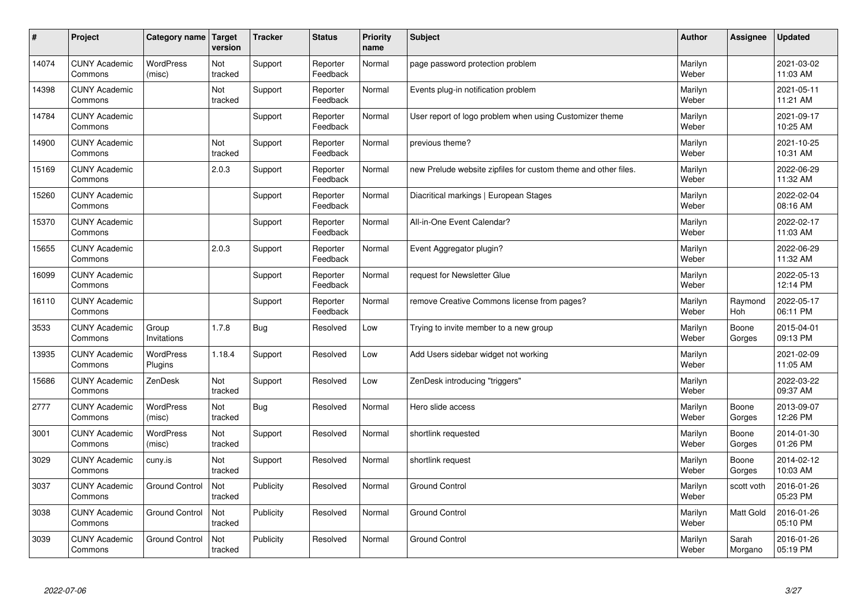| #     | Project                         | Category name               | Target<br>version | <b>Tracker</b> | <b>Status</b>        | <b>Priority</b><br>name | <b>Subject</b>                                                 | <b>Author</b>    | Assignee         | <b>Updated</b>         |
|-------|---------------------------------|-----------------------------|-------------------|----------------|----------------------|-------------------------|----------------------------------------------------------------|------------------|------------------|------------------------|
| 14074 | <b>CUNY Academic</b><br>Commons | <b>WordPress</b><br>(misc)  | Not<br>tracked    | Support        | Reporter<br>Feedback | Normal                  | page password protection problem                               | Marilyn<br>Weber |                  | 2021-03-02<br>11:03 AM |
| 14398 | <b>CUNY Academic</b><br>Commons |                             | Not<br>tracked    | Support        | Reporter<br>Feedback | Normal                  | Events plug-in notification problem                            | Marilyn<br>Weber |                  | 2021-05-11<br>11:21 AM |
| 14784 | <b>CUNY Academic</b><br>Commons |                             |                   | Support        | Reporter<br>Feedback | Normal                  | User report of logo problem when using Customizer theme        | Marilyn<br>Weber |                  | 2021-09-17<br>10:25 AM |
| 14900 | <b>CUNY Academic</b><br>Commons |                             | Not<br>tracked    | Support        | Reporter<br>Feedback | Normal                  | previous theme?                                                | Marilyn<br>Weber |                  | 2021-10-25<br>10:31 AM |
| 15169 | <b>CUNY Academic</b><br>Commons |                             | 2.0.3             | Support        | Reporter<br>Feedback | Normal                  | new Prelude website zipfiles for custom theme and other files. | Marilyn<br>Weber |                  | 2022-06-29<br>11:32 AM |
| 15260 | <b>CUNY Academic</b><br>Commons |                             |                   | Support        | Reporter<br>Feedback | Normal                  | Diacritical markings   European Stages                         | Marilyn<br>Weber |                  | 2022-02-04<br>08:16 AM |
| 15370 | <b>CUNY Academic</b><br>Commons |                             |                   | Support        | Reporter<br>Feedback | Normal                  | All-in-One Event Calendar?                                     | Marilyn<br>Weber |                  | 2022-02-17<br>11:03 AM |
| 15655 | <b>CUNY Academic</b><br>Commons |                             | 2.0.3             | Support        | Reporter<br>Feedback | Normal                  | Event Aggregator plugin?                                       | Marilyn<br>Weber |                  | 2022-06-29<br>11:32 AM |
| 16099 | <b>CUNY Academic</b><br>Commons |                             |                   | Support        | Reporter<br>Feedback | Normal                  | request for Newsletter Glue                                    | Marilyn<br>Weber |                  | 2022-05-13<br>12:14 PM |
| 16110 | <b>CUNY Academic</b><br>Commons |                             |                   | Support        | Reporter<br>Feedback | Normal                  | remove Creative Commons license from pages?                    | Marilyn<br>Weber | Raymond<br>Hoh   | 2022-05-17<br>06:11 PM |
| 3533  | <b>CUNY Academic</b><br>Commons | Group<br>Invitations        | 1.7.8             | <b>Bug</b>     | Resolved             | Low                     | Trying to invite member to a new group                         | Marilyn<br>Weber | Boone<br>Gorges  | 2015-04-01<br>09:13 PM |
| 13935 | <b>CUNY Academic</b><br>Commons | <b>WordPress</b><br>Plugins | 1.18.4            | Support        | Resolved             | Low                     | Add Users sidebar widget not working                           | Marilyn<br>Weber |                  | 2021-02-09<br>11:05 AM |
| 15686 | <b>CUNY Academic</b><br>Commons | ZenDesk                     | Not<br>tracked    | Support        | Resolved             | Low                     | ZenDesk introducing "triggers"                                 | Marilyn<br>Weber |                  | 2022-03-22<br>09:37 AM |
| 2777  | <b>CUNY Academic</b><br>Commons | <b>WordPress</b><br>(misc)  | Not<br>tracked    | <b>Bug</b>     | Resolved             | Normal                  | Hero slide access                                              | Marilyn<br>Weber | Boone<br>Gorges  | 2013-09-07<br>12:26 PM |
| 3001  | <b>CUNY Academic</b><br>Commons | <b>WordPress</b><br>(misc)  | Not<br>tracked    | Support        | Resolved             | Normal                  | shortlink requested                                            | Marilyn<br>Weber | Boone<br>Gorges  | 2014-01-30<br>01:26 PM |
| 3029  | <b>CUNY Academic</b><br>Commons | cuny.is                     | Not<br>tracked    | Support        | Resolved             | Normal                  | shortlink request                                              | Marilyn<br>Weber | Boone<br>Gorges  | 2014-02-12<br>10:03 AM |
| 3037  | <b>CUNY Academic</b><br>Commons | <b>Ground Control</b>       | Not<br>tracked    | Publicity      | Resolved             | Normal                  | <b>Ground Control</b>                                          | Marilyn<br>Weber | scott voth       | 2016-01-26<br>05:23 PM |
| 3038  | <b>CUNY Academic</b><br>Commons | <b>Ground Control</b>       | Not<br>tracked    | Publicity      | Resolved             | Normal                  | <b>Ground Control</b>                                          | Marilyn<br>Weber | <b>Matt Gold</b> | 2016-01-26<br>05:10 PM |
| 3039  | <b>CUNY Academic</b><br>Commons | <b>Ground Control</b>       | Not<br>tracked    | Publicity      | Resolved             | Normal                  | <b>Ground Control</b>                                          | Marilyn<br>Weber | Sarah<br>Morgano | 2016-01-26<br>05:19 PM |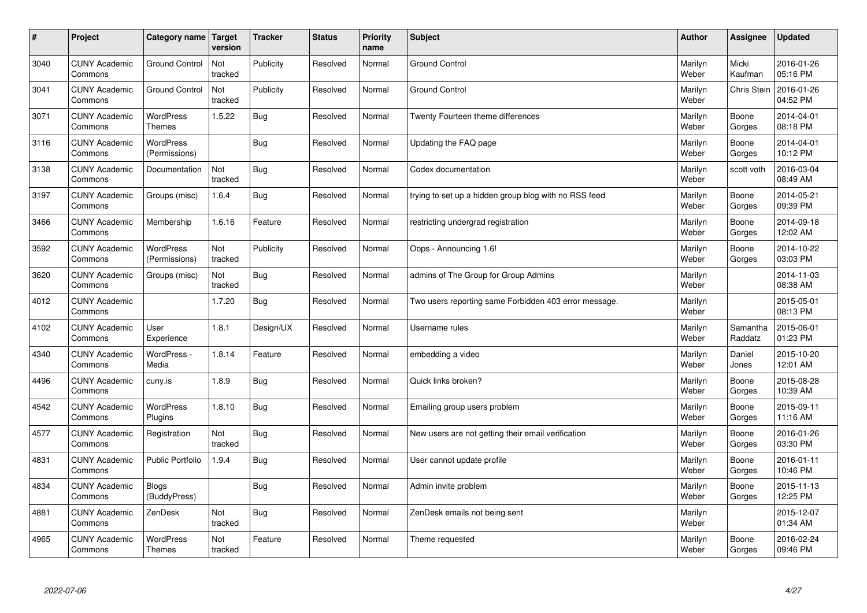| $\sharp$ | Project                         | Category name   Target            | version        | <b>Tracker</b> | <b>Status</b> | <b>Priority</b><br>name | <b>Subject</b>                                        | <b>Author</b>    | Assignee            | <b>Updated</b>         |
|----------|---------------------------------|-----------------------------------|----------------|----------------|---------------|-------------------------|-------------------------------------------------------|------------------|---------------------|------------------------|
| 3040     | <b>CUNY Academic</b><br>Commons | <b>Ground Control</b>             | Not<br>tracked | Publicity      | Resolved      | Normal                  | <b>Ground Control</b>                                 | Marilyn<br>Weber | Micki<br>Kaufman    | 2016-01-26<br>05:16 PM |
| 3041     | <b>CUNY Academic</b><br>Commons | <b>Ground Control</b>             | Not<br>tracked | Publicity      | Resolved      | Normal                  | <b>Ground Control</b>                                 | Marilyn<br>Weber | <b>Chris Stein</b>  | 2016-01-26<br>04:52 PM |
| 3071     | <b>CUNY Academic</b><br>Commons | <b>WordPress</b><br><b>Themes</b> | 1.5.22         | <b>Bug</b>     | Resolved      | Normal                  | Twenty Fourteen theme differences                     | Marilyn<br>Weber | Boone<br>Gorges     | 2014-04-01<br>08:18 PM |
| 3116     | <b>CUNY Academic</b><br>Commons | <b>WordPress</b><br>(Permissions) |                | <b>Bug</b>     | Resolved      | Normal                  | Updating the FAQ page                                 | Marilyn<br>Weber | Boone<br>Gorges     | 2014-04-01<br>10:12 PM |
| 3138     | <b>CUNY Academic</b><br>Commons | Documentation                     | Not<br>tracked | Bug            | Resolved      | Normal                  | Codex documentation                                   | Marilyn<br>Weber | scott voth          | 2016-03-04<br>08:49 AM |
| 3197     | <b>CUNY Academic</b><br>Commons | Groups (misc)                     | 1.6.4          | Bug            | Resolved      | Normal                  | trying to set up a hidden group blog with no RSS feed | Marilyn<br>Weber | Boone<br>Gorges     | 2014-05-21<br>09:39 PM |
| 3466     | <b>CUNY Academic</b><br>Commons | Membership                        | 1.6.16         | Feature        | Resolved      | Normal                  | restricting undergrad registration                    | Marilyn<br>Weber | Boone<br>Gorges     | 2014-09-18<br>12:02 AM |
| 3592     | <b>CUNY Academic</b><br>Commons | WordPress<br>(Permissions)        | Not<br>tracked | Publicity      | Resolved      | Normal                  | Oops - Announcing 1.6!                                | Marilyn<br>Weber | Boone<br>Gorges     | 2014-10-22<br>03:03 PM |
| 3620     | <b>CUNY Academic</b><br>Commons | Groups (misc)                     | Not<br>tracked | Bug            | Resolved      | Normal                  | admins of The Group for Group Admins                  | Marilyn<br>Weber |                     | 2014-11-03<br>08:38 AM |
| 4012     | <b>CUNY Academic</b><br>Commons |                                   | 1.7.20         | <b>Bug</b>     | Resolved      | Normal                  | Two users reporting same Forbidden 403 error message. | Marilyn<br>Weber |                     | 2015-05-01<br>08:13 PM |
| 4102     | <b>CUNY Academic</b><br>Commons | User<br>Experience                | 1.8.1          | Design/UX      | Resolved      | Normal                  | Username rules                                        | Marilyn<br>Weber | Samantha<br>Raddatz | 2015-06-01<br>01:23 PM |
| 4340     | <b>CUNY Academic</b><br>Commons | WordPress -<br>Media              | 1.8.14         | Feature        | Resolved      | Normal                  | embedding a video                                     | Marilyn<br>Weber | Daniel<br>Jones     | 2015-10-20<br>12:01 AM |
| 4496     | <b>CUNY Academic</b><br>Commons | cuny.is                           | 1.8.9          | Bug            | Resolved      | Normal                  | Quick links broken?                                   | Marilyn<br>Weber | Boone<br>Gorges     | 2015-08-28<br>10:39 AM |
| 4542     | <b>CUNY Academic</b><br>Commons | WordPress<br>Plugins              | 1.8.10         | <b>Bug</b>     | Resolved      | Normal                  | Emailing group users problem                          | Marilyn<br>Weber | Boone<br>Gorges     | 2015-09-11<br>11:16 AM |
| 4577     | <b>CUNY Academic</b><br>Commons | Registration                      | Not<br>tracked | Bug            | Resolved      | Normal                  | New users are not getting their email verification    | Marilyn<br>Weber | Boone<br>Gorges     | 2016-01-26<br>03:30 PM |
| 4831     | <b>CUNY Academic</b><br>Commons | <b>Public Portfolio</b>           | 1.9.4          | Bug            | Resolved      | Normal                  | User cannot update profile                            | Marilyn<br>Weber | Boone<br>Gorges     | 2016-01-11<br>10:46 PM |
| 4834     | <b>CUNY Academic</b><br>Commons | <b>Blogs</b><br>(BuddyPress)      |                | <b>Bug</b>     | Resolved      | Normal                  | Admin invite problem                                  | Marilyn<br>Weber | Boone<br>Gorges     | 2015-11-13<br>12:25 PM |
| 4881     | <b>CUNY Academic</b><br>Commons | ZenDesk                           | Not<br>tracked | <b>Bug</b>     | Resolved      | Normal                  | ZenDesk emails not being sent                         | Marilyn<br>Weber |                     | 2015-12-07<br>01:34 AM |
| 4965     | <b>CUNY Academic</b><br>Commons | <b>WordPress</b><br><b>Themes</b> | Not<br>tracked | Feature        | Resolved      | Normal                  | Theme requested                                       | Marilyn<br>Weber | Boone<br>Gorges     | 2016-02-24<br>09:46 PM |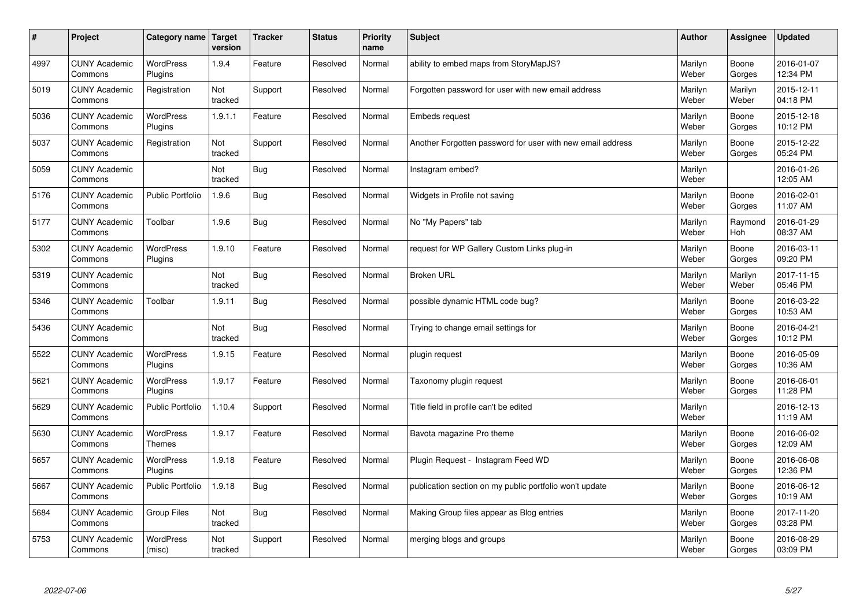| #    | Project                         | Category name               | <b>Target</b><br>version | <b>Tracker</b> | <b>Status</b> | <b>Priority</b><br>name | <b>Subject</b>                                             | <b>Author</b>    | Assignee         | <b>Updated</b>         |
|------|---------------------------------|-----------------------------|--------------------------|----------------|---------------|-------------------------|------------------------------------------------------------|------------------|------------------|------------------------|
| 4997 | <b>CUNY Academic</b><br>Commons | <b>WordPress</b><br>Plugins | 1.9.4                    | Feature        | Resolved      | Normal                  | ability to embed maps from StoryMapJS?                     | Marilyn<br>Weber | Boone<br>Gorges  | 2016-01-07<br>12:34 PM |
| 5019 | <b>CUNY Academic</b><br>Commons | Registration                | Not<br>tracked           | Support        | Resolved      | Normal                  | Forgotten password for user with new email address         | Marilyn<br>Weber | Marilyn<br>Weber | 2015-12-11<br>04:18 PM |
| 5036 | <b>CUNY Academic</b><br>Commons | <b>WordPress</b><br>Plugins | 1.9.1.1                  | Feature        | Resolved      | Normal                  | Embeds request                                             | Marilyn<br>Weber | Boone<br>Gorges  | 2015-12-18<br>10:12 PM |
| 5037 | <b>CUNY Academic</b><br>Commons | Registration                | Not<br>tracked           | Support        | Resolved      | Normal                  | Another Forgotten password for user with new email address | Marilyn<br>Weber | Boone<br>Gorges  | 2015-12-22<br>05:24 PM |
| 5059 | <b>CUNY Academic</b><br>Commons |                             | Not<br>tracked           | <b>Bug</b>     | Resolved      | Normal                  | Instagram embed?                                           | Marilyn<br>Weber |                  | 2016-01-26<br>12:05 AM |
| 5176 | <b>CUNY Academic</b><br>Commons | <b>Public Portfolio</b>     | 1.9.6                    | <b>Bug</b>     | Resolved      | Normal                  | Widgets in Profile not saving                              | Marilyn<br>Weber | Boone<br>Gorges  | 2016-02-01<br>11:07 AM |
| 5177 | <b>CUNY Academic</b><br>Commons | Toolbar                     | 1.9.6                    | Bug            | Resolved      | Normal                  | No "My Papers" tab                                         | Marilyn<br>Weber | Raymond<br>Hoh   | 2016-01-29<br>08:37 AM |
| 5302 | <b>CUNY Academic</b><br>Commons | WordPress<br>Plugins        | 1.9.10                   | Feature        | Resolved      | Normal                  | request for WP Gallery Custom Links plug-in                | Marilyn<br>Weber | Boone<br>Gorges  | 2016-03-11<br>09:20 PM |
| 5319 | <b>CUNY Academic</b><br>Commons |                             | Not<br>tracked           | Bug            | Resolved      | Normal                  | <b>Broken URL</b>                                          | Marilyn<br>Weber | Marilyn<br>Weber | 2017-11-15<br>05:46 PM |
| 5346 | <b>CUNY Academic</b><br>Commons | Toolbar                     | 1.9.11                   | <b>Bug</b>     | Resolved      | Normal                  | possible dynamic HTML code bug?                            | Marilyn<br>Weber | Boone<br>Gorges  | 2016-03-22<br>10:53 AM |
| 5436 | <b>CUNY Academic</b><br>Commons |                             | Not<br>tracked           | Bug            | Resolved      | Normal                  | Trying to change email settings for                        | Marilyn<br>Weber | Boone<br>Gorges  | 2016-04-21<br>10:12 PM |
| 5522 | <b>CUNY Academic</b><br>Commons | <b>WordPress</b><br>Plugins | 1.9.15                   | Feature        | Resolved      | Normal                  | plugin request                                             | Marilyn<br>Weber | Boone<br>Gorges  | 2016-05-09<br>10:36 AM |
| 5621 | <b>CUNY Academic</b><br>Commons | <b>WordPress</b><br>Plugins | 1.9.17                   | Feature        | Resolved      | Normal                  | Taxonomy plugin request                                    | Marilyn<br>Weber | Boone<br>Gorges  | 2016-06-01<br>11:28 PM |
| 5629 | <b>CUNY Academic</b><br>Commons | Public Portfolio            | 1.10.4                   | Support        | Resolved      | Normal                  | Title field in profile can't be edited                     | Marilyn<br>Weber |                  | 2016-12-13<br>11:19 AM |
| 5630 | <b>CUNY Academic</b><br>Commons | <b>WordPress</b><br>Themes  | 1.9.17                   | Feature        | Resolved      | Normal                  | Bavota magazine Pro theme                                  | Marilyn<br>Weber | Boone<br>Gorges  | 2016-06-02<br>12:09 AM |
| 5657 | <b>CUNY Academic</b><br>Commons | <b>WordPress</b><br>Plugins | 1.9.18                   | Feature        | Resolved      | Normal                  | Plugin Request - Instagram Feed WD                         | Marilyn<br>Weber | Boone<br>Gorges  | 2016-06-08<br>12:36 PM |
| 5667 | <b>CUNY Academic</b><br>Commons | Public Portfolio            | 1.9.18                   | Bug            | Resolved      | Normal                  | publication section on my public portfolio won't update    | Marilyn<br>Weber | Boone<br>Gorges  | 2016-06-12<br>10:19 AM |
| 5684 | <b>CUNY Academic</b><br>Commons | <b>Group Files</b>          | Not<br>tracked           | <b>Bug</b>     | Resolved      | Normal                  | Making Group files appear as Blog entries                  | Marilyn<br>Weber | Boone<br>Gorges  | 2017-11-20<br>03:28 PM |
| 5753 | <b>CUNY Academic</b><br>Commons | <b>WordPress</b><br>(misc)  | Not<br>tracked           | Support        | Resolved      | Normal                  | merging blogs and groups                                   | Marilyn<br>Weber | Boone<br>Gorges  | 2016-08-29<br>03:09 PM |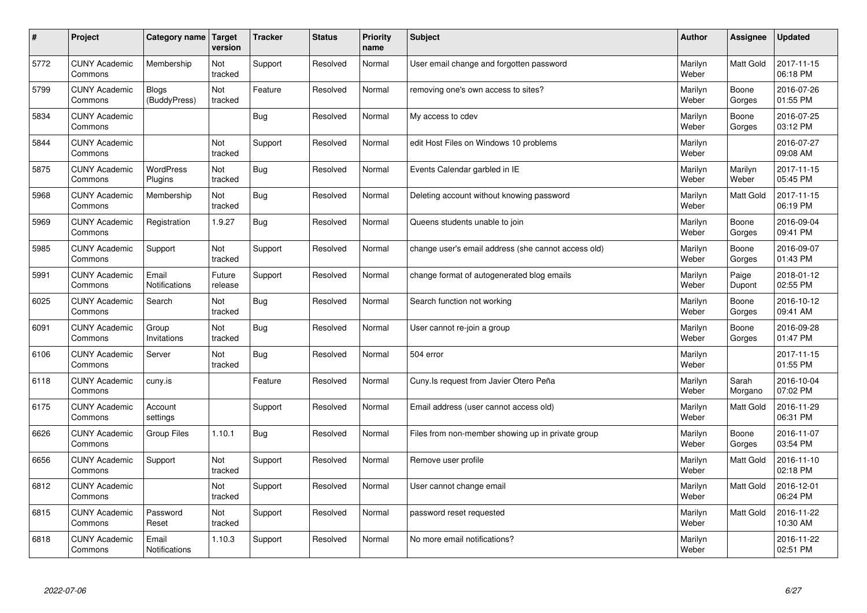| $\sharp$ | Project                         | Category name   Target       | version           | <b>Tracker</b> | <b>Status</b> | Priority<br>name | <b>Subject</b>                                      | <b>Author</b>    | Assignee         | <b>Updated</b>         |
|----------|---------------------------------|------------------------------|-------------------|----------------|---------------|------------------|-----------------------------------------------------|------------------|------------------|------------------------|
| 5772     | <b>CUNY Academic</b><br>Commons | Membership                   | Not<br>tracked    | Support        | Resolved      | Normal           | User email change and forgotten password            | Marilyn<br>Weber | <b>Matt Gold</b> | 2017-11-15<br>06:18 PM |
| 5799     | <b>CUNY Academic</b><br>Commons | <b>Blogs</b><br>(BuddyPress) | Not<br>tracked    | Feature        | Resolved      | Normal           | removing one's own access to sites?                 | Marilyn<br>Weber | Boone<br>Gorges  | 2016-07-26<br>01:55 PM |
| 5834     | <b>CUNY Academic</b><br>Commons |                              |                   | <b>Bug</b>     | Resolved      | Normal           | My access to cdev                                   | Marilyn<br>Weber | Boone<br>Gorges  | 2016-07-25<br>03:12 PM |
| 5844     | <b>CUNY Academic</b><br>Commons |                              | Not<br>tracked    | Support        | Resolved      | Normal           | edit Host Files on Windows 10 problems              | Marilyn<br>Weber |                  | 2016-07-27<br>09:08 AM |
| 5875     | <b>CUNY Academic</b><br>Commons | <b>WordPress</b><br>Plugins  | Not<br>tracked    | <b>Bug</b>     | Resolved      | Normal           | Events Calendar garbled in IE                       | Marilyn<br>Weber | Marilyn<br>Weber | 2017-11-15<br>05:45 PM |
| 5968     | <b>CUNY Academic</b><br>Commons | Membership                   | Not<br>tracked    | <b>Bug</b>     | Resolved      | Normal           | Deleting account without knowing password           | Marilyn<br>Weber | <b>Matt Gold</b> | 2017-11-15<br>06:19 PM |
| 5969     | <b>CUNY Academic</b><br>Commons | Registration                 | 1.9.27            | Bug            | Resolved      | Normal           | Queens students unable to join                      | Marilyn<br>Weber | Boone<br>Gorges  | 2016-09-04<br>09:41 PM |
| 5985     | <b>CUNY Academic</b><br>Commons | Support                      | Not<br>tracked    | Support        | Resolved      | Normal           | change user's email address (she cannot access old) | Marilyn<br>Weber | Boone<br>Gorges  | 2016-09-07<br>01:43 PM |
| 5991     | <b>CUNY Academic</b><br>Commons | Email<br>Notifications       | Future<br>release | Support        | Resolved      | Normal           | change format of autogenerated blog emails          | Marilyn<br>Weber | Paige<br>Dupont  | 2018-01-12<br>02:55 PM |
| 6025     | <b>CUNY Academic</b><br>Commons | Search                       | Not<br>tracked    | <b>Bug</b>     | Resolved      | Normal           | Search function not working                         | Marilyn<br>Weber | Boone<br>Gorges  | 2016-10-12<br>09:41 AM |
| 6091     | <b>CUNY Academic</b><br>Commons | Group<br>Invitations         | Not<br>tracked    | Bug            | Resolved      | Normal           | User cannot re-join a group                         | Marilyn<br>Weber | Boone<br>Gorges  | 2016-09-28<br>01:47 PM |
| 6106     | <b>CUNY Academic</b><br>Commons | Server                       | Not<br>tracked    | <b>Bug</b>     | Resolved      | Normal           | 504 error                                           | Marilyn<br>Weber |                  | 2017-11-15<br>01:55 PM |
| 6118     | <b>CUNY Academic</b><br>Commons | cuny.is                      |                   | Feature        | Resolved      | Normal           | Cuny. Is request from Javier Otero Peña             | Marilyn<br>Weber | Sarah<br>Morgano | 2016-10-04<br>07:02 PM |
| 6175     | <b>CUNY Academic</b><br>Commons | Account<br>settings          |                   | Support        | Resolved      | Normal           | Email address (user cannot access old)              | Marilyn<br>Weber | Matt Gold        | 2016-11-29<br>06:31 PM |
| 6626     | <b>CUNY Academic</b><br>Commons | <b>Group Files</b>           | 1.10.1            | Bug            | Resolved      | Normal           | Files from non-member showing up in private group   | Marilyn<br>Weber | Boone<br>Gorges  | 2016-11-07<br>03:54 PM |
| 6656     | <b>CUNY Academic</b><br>Commons | Support                      | Not<br>tracked    | Support        | Resolved      | Normal           | Remove user profile                                 | Marilyn<br>Weber | <b>Matt Gold</b> | 2016-11-10<br>02:18 PM |
| 6812     | <b>CUNY Academic</b><br>Commons |                              | Not<br>tracked    | Support        | Resolved      | Normal           | User cannot change email                            | Marilyn<br>Weber | Matt Gold        | 2016-12-01<br>06:24 PM |
| 6815     | <b>CUNY Academic</b><br>Commons | Password<br>Reset            | Not<br>tracked    | Support        | Resolved      | Normal           | password reset requested                            | Marilyn<br>Weber | <b>Matt Gold</b> | 2016-11-22<br>10:30 AM |
| 6818     | <b>CUNY Academic</b><br>Commons | Email<br>Notifications       | 1.10.3            | Support        | Resolved      | Normal           | No more email notifications?                        | Marilyn<br>Weber |                  | 2016-11-22<br>02:51 PM |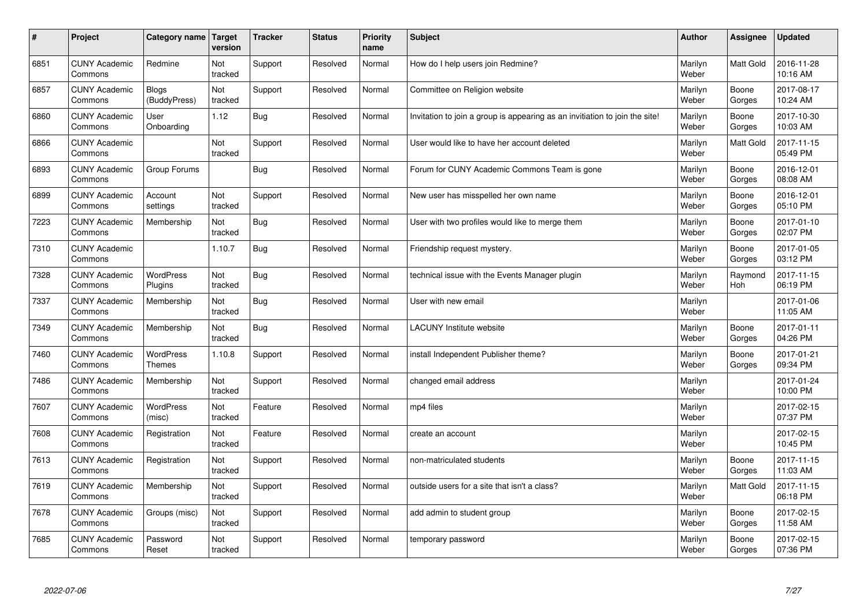| $\sharp$ | Project                         | Category name                     | Target<br>version | <b>Tracker</b> | <b>Status</b> | <b>Priority</b><br>name | <b>Subject</b>                                                              | <b>Author</b>    | <b>Assignee</b>  | <b>Updated</b>         |
|----------|---------------------------------|-----------------------------------|-------------------|----------------|---------------|-------------------------|-----------------------------------------------------------------------------|------------------|------------------|------------------------|
| 6851     | <b>CUNY Academic</b><br>Commons | Redmine                           | Not<br>tracked    | Support        | Resolved      | Normal                  | How do I help users join Redmine?                                           | Marilyn<br>Weber | <b>Matt Gold</b> | 2016-11-28<br>10:16 AM |
| 6857     | <b>CUNY Academic</b><br>Commons | Blogs<br>(BuddyPress)             | Not<br>tracked    | Support        | Resolved      | Normal                  | Committee on Religion website                                               | Marilyn<br>Weber | Boone<br>Gorges  | 2017-08-17<br>10:24 AM |
| 6860     | <b>CUNY Academic</b><br>Commons | User<br>Onboarding                | 1.12              | <b>Bug</b>     | Resolved      | Normal                  | Invitation to join a group is appearing as an invitiation to join the site! | Marilyn<br>Weber | Boone<br>Gorges  | 2017-10-30<br>10:03 AM |
| 6866     | <b>CUNY Academic</b><br>Commons |                                   | Not<br>tracked    | Support        | Resolved      | Normal                  | User would like to have her account deleted                                 | Marilyn<br>Weber | Matt Gold        | 2017-11-15<br>05:49 PM |
| 6893     | <b>CUNY Academic</b><br>Commons | Group Forums                      |                   | <b>Bug</b>     | Resolved      | Normal                  | Forum for CUNY Academic Commons Team is gone                                | Marilyn<br>Weber | Boone<br>Gorges  | 2016-12-01<br>08:08 AM |
| 6899     | <b>CUNY Academic</b><br>Commons | Account<br>settings               | Not<br>tracked    | Support        | Resolved      | Normal                  | New user has misspelled her own name                                        | Marilyn<br>Weber | Boone<br>Gorges  | 2016-12-01<br>05:10 PM |
| 7223     | <b>CUNY Academic</b><br>Commons | Membership                        | Not<br>tracked    | <b>Bug</b>     | Resolved      | Normal                  | User with two profiles would like to merge them                             | Marilyn<br>Weber | Boone<br>Gorges  | 2017-01-10<br>02:07 PM |
| 7310     | <b>CUNY Academic</b><br>Commons |                                   | 1.10.7            | Bug            | Resolved      | Normal                  | Friendship request mystery.                                                 | Marilyn<br>Weber | Boone<br>Gorges  | 2017-01-05<br>03:12 PM |
| 7328     | <b>CUNY Academic</b><br>Commons | <b>WordPress</b><br>Plugins       | Not<br>tracked    | Bug            | Resolved      | Normal                  | technical issue with the Events Manager plugin                              | Marilyn<br>Weber | Raymond<br>Hoh   | 2017-11-15<br>06:19 PM |
| 7337     | <b>CUNY Academic</b><br>Commons | Membership                        | Not<br>tracked    | Bug            | Resolved      | Normal                  | User with new email                                                         | Marilyn<br>Weber |                  | 2017-01-06<br>11:05 AM |
| 7349     | <b>CUNY Academic</b><br>Commons | Membership                        | Not<br>tracked    | <b>Bug</b>     | Resolved      | Normal                  | LACUNY Institute website                                                    | Marilyn<br>Weber | Boone<br>Gorges  | 2017-01-11<br>04:26 PM |
| 7460     | <b>CUNY Academic</b><br>Commons | <b>WordPress</b><br><b>Themes</b> | 1.10.8            | Support        | Resolved      | Normal                  | install Independent Publisher theme?                                        | Marilyn<br>Weber | Boone<br>Gorges  | 2017-01-21<br>09:34 PM |
| 7486     | <b>CUNY Academic</b><br>Commons | Membership                        | Not<br>tracked    | Support        | Resolved      | Normal                  | changed email address                                                       | Marilyn<br>Weber |                  | 2017-01-24<br>10:00 PM |
| 7607     | <b>CUNY Academic</b><br>Commons | <b>WordPress</b><br>(misc)        | Not<br>tracked    | Feature        | Resolved      | Normal                  | mp4 files                                                                   | Marilyn<br>Weber |                  | 2017-02-15<br>07:37 PM |
| 7608     | <b>CUNY Academic</b><br>Commons | Registration                      | Not<br>tracked    | Feature        | Resolved      | Normal                  | create an account                                                           | Marilyn<br>Weber |                  | 2017-02-15<br>10:45 PM |
| 7613     | <b>CUNY Academic</b><br>Commons | Registration                      | Not<br>tracked    | Support        | Resolved      | Normal                  | non-matriculated students                                                   | Marilyn<br>Weber | Boone<br>Gorges  | 2017-11-15<br>11:03 AM |
| 7619     | <b>CUNY Academic</b><br>Commons | Membership                        | Not<br>tracked    | Support        | Resolved      | Normal                  | outside users for a site that isn't a class?                                | Marilyn<br>Weber | <b>Matt Gold</b> | 2017-11-15<br>06:18 PM |
| 7678     | <b>CUNY Academic</b><br>Commons | Groups (misc)                     | Not<br>tracked    | Support        | Resolved      | Normal                  | add admin to student group                                                  | Marilyn<br>Weber | Boone<br>Gorges  | 2017-02-15<br>11:58 AM |
| 7685     | <b>CUNY Academic</b><br>Commons | Password<br>Reset                 | Not<br>tracked    | Support        | Resolved      | Normal                  | temporary password                                                          | Marilyn<br>Weber | Boone<br>Gorges  | 2017-02-15<br>07:36 PM |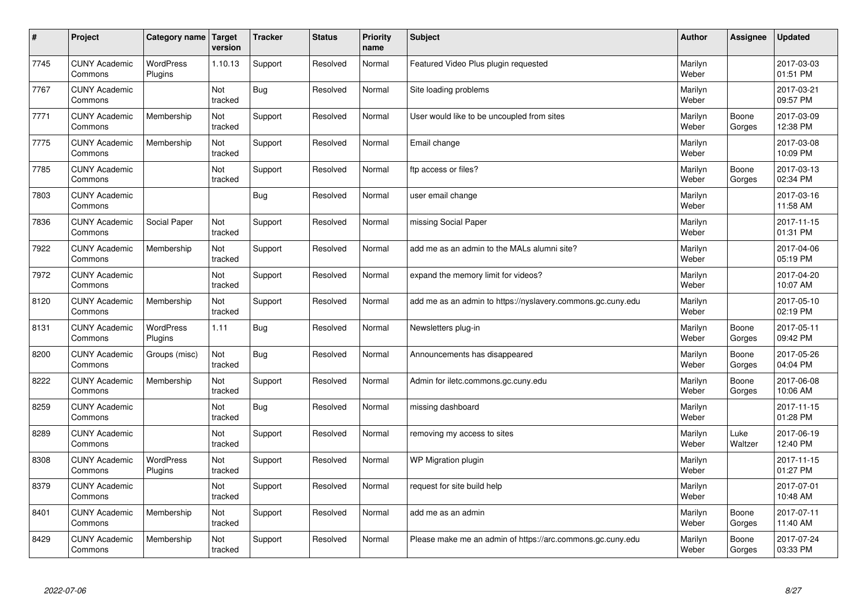| $\vert$ # | Project                         | <b>Category name</b>        | Target<br>version | <b>Tracker</b> | <b>Status</b> | <b>Priority</b><br>name | <b>Subject</b>                                              | <b>Author</b>    | Assignee        | <b>Updated</b>         |
|-----------|---------------------------------|-----------------------------|-------------------|----------------|---------------|-------------------------|-------------------------------------------------------------|------------------|-----------------|------------------------|
| 7745      | <b>CUNY Academic</b><br>Commons | <b>WordPress</b><br>Plugins | 1.10.13           | Support        | Resolved      | Normal                  | Featured Video Plus plugin requested                        | Marilyn<br>Weber |                 | 2017-03-03<br>01:51 PM |
| 7767      | <b>CUNY Academic</b><br>Commons |                             | Not<br>tracked    | Bug            | Resolved      | Normal                  | Site loading problems                                       | Marilyn<br>Weber |                 | 2017-03-21<br>09:57 PM |
| 7771      | <b>CUNY Academic</b><br>Commons | Membership                  | Not<br>tracked    | Support        | Resolved      | Normal                  | User would like to be uncoupled from sites                  | Marilyn<br>Weber | Boone<br>Gorges | 2017-03-09<br>12:38 PM |
| 7775      | <b>CUNY Academic</b><br>Commons | Membership                  | Not<br>tracked    | Support        | Resolved      | Normal                  | Email change                                                | Marilyn<br>Weber |                 | 2017-03-08<br>10:09 PM |
| 7785      | <b>CUNY Academic</b><br>Commons |                             | Not<br>tracked    | Support        | Resolved      | Normal                  | ftp access or files?                                        | Marilyn<br>Weber | Boone<br>Gorges | 2017-03-13<br>02:34 PM |
| 7803      | <b>CUNY Academic</b><br>Commons |                             |                   | Bug            | Resolved      | Normal                  | user email change                                           | Marilyn<br>Weber |                 | 2017-03-16<br>11:58 AM |
| 7836      | <b>CUNY Academic</b><br>Commons | Social Paper                | Not<br>tracked    | Support        | Resolved      | Normal                  | missing Social Paper                                        | Marilyn<br>Weber |                 | 2017-11-15<br>01:31 PM |
| 7922      | <b>CUNY Academic</b><br>Commons | Membership                  | Not<br>tracked    | Support        | Resolved      | Normal                  | add me as an admin to the MALs alumni site?                 | Marilyn<br>Weber |                 | 2017-04-06<br>05:19 PM |
| 7972      | <b>CUNY Academic</b><br>Commons |                             | Not<br>tracked    | Support        | Resolved      | Normal                  | expand the memory limit for videos?                         | Marilyn<br>Weber |                 | 2017-04-20<br>10:07 AM |
| 8120      | <b>CUNY Academic</b><br>Commons | Membership                  | Not<br>tracked    | Support        | Resolved      | Normal                  | add me as an admin to https://nyslavery.commons.gc.cuny.edu | Marilyn<br>Weber |                 | 2017-05-10<br>02:19 PM |
| 8131      | <b>CUNY Academic</b><br>Commons | WordPress<br>Plugins        | 1.11              | Bug            | Resolved      | Normal                  | Newsletters plug-in                                         | Marilyn<br>Weber | Boone<br>Gorges | 2017-05-11<br>09:42 PM |
| 8200      | <b>CUNY Academic</b><br>Commons | Groups (misc)               | Not<br>tracked    | <b>Bug</b>     | Resolved      | Normal                  | Announcements has disappeared                               | Marilyn<br>Weber | Boone<br>Gorges | 2017-05-26<br>04:04 PM |
| 8222      | <b>CUNY Academic</b><br>Commons | Membership                  | Not<br>tracked    | Support        | Resolved      | Normal                  | Admin for iletc.commons.gc.cuny.edu                         | Marilyn<br>Weber | Boone<br>Gorges | 2017-06-08<br>10:06 AM |
| 8259      | <b>CUNY Academic</b><br>Commons |                             | Not<br>tracked    | <b>Bug</b>     | Resolved      | Normal                  | missing dashboard                                           | Marilyn<br>Weber |                 | 2017-11-15<br>01:28 PM |
| 8289      | <b>CUNY Academic</b><br>Commons |                             | Not<br>tracked    | Support        | Resolved      | Normal                  | removing my access to sites                                 | Marilyn<br>Weber | Luke<br>Waltzer | 2017-06-19<br>12:40 PM |
| 8308      | <b>CUNY Academic</b><br>Commons | <b>WordPress</b><br>Plugins | Not<br>tracked    | Support        | Resolved      | Normal                  | <b>WP Migration plugin</b>                                  | Marilyn<br>Weber |                 | 2017-11-15<br>01:27 PM |
| 8379      | <b>CUNY Academic</b><br>Commons |                             | Not<br>tracked    | Support        | Resolved      | Normal                  | request for site build help                                 | Marilyn<br>Weber |                 | 2017-07-01<br>10:48 AM |
| 8401      | <b>CUNY Academic</b><br>Commons | Membership                  | Not<br>tracked    | Support        | Resolved      | Normal                  | add me as an admin                                          | Marilyn<br>Weber | Boone<br>Gorges | 2017-07-11<br>11:40 AM |
| 8429      | <b>CUNY Academic</b><br>Commons | Membership                  | Not<br>tracked    | Support        | Resolved      | Normal                  | Please make me an admin of https://arc.commons.gc.cuny.edu  | Marilyn<br>Weber | Boone<br>Gorges | 2017-07-24<br>03:33 PM |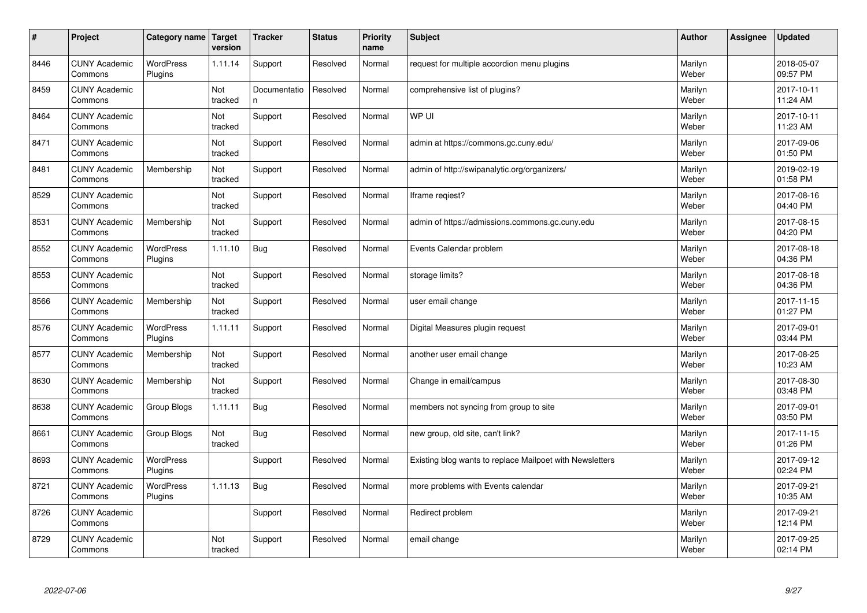| $\sharp$ | Project                         | Category name               | Target<br>version | <b>Tracker</b>     | <b>Status</b> | <b>Priority</b><br>name | <b>Subject</b>                                           | <b>Author</b>    | Assignee | <b>Updated</b>         |
|----------|---------------------------------|-----------------------------|-------------------|--------------------|---------------|-------------------------|----------------------------------------------------------|------------------|----------|------------------------|
| 8446     | <b>CUNY Academic</b><br>Commons | <b>WordPress</b><br>Plugins | 1.11.14           | Support            | Resolved      | Normal                  | request for multiple accordion menu plugins              | Marilyn<br>Weber |          | 2018-05-07<br>09:57 PM |
| 8459     | <b>CUNY Academic</b><br>Commons |                             | Not<br>tracked    | Documentatio<br>n. | Resolved      | Normal                  | comprehensive list of plugins?                           | Marilyn<br>Weber |          | 2017-10-11<br>11:24 AM |
| 8464     | <b>CUNY Academic</b><br>Commons |                             | Not<br>tracked    | Support            | Resolved      | Normal                  | WP UI                                                    | Marilyn<br>Weber |          | 2017-10-11<br>11:23 AM |
| 8471     | <b>CUNY Academic</b><br>Commons |                             | Not<br>tracked    | Support            | Resolved      | Normal                  | admin at https://commons.gc.cuny.edu/                    | Marilyn<br>Weber |          | 2017-09-06<br>01:50 PM |
| 8481     | <b>CUNY Academic</b><br>Commons | Membership                  | Not<br>tracked    | Support            | Resolved      | Normal                  | admin of http://swipanalytic.org/organizers/             | Marilyn<br>Weber |          | 2019-02-19<br>01:58 PM |
| 8529     | <b>CUNY Academic</b><br>Commons |                             | Not<br>tracked    | Support            | Resolved      | Normal                  | lframe regiest?                                          | Marilyn<br>Weber |          | 2017-08-16<br>04:40 PM |
| 8531     | <b>CUNY Academic</b><br>Commons | Membership                  | Not<br>tracked    | Support            | Resolved      | Normal                  | admin of https://admissions.commons.gc.cuny.edu          | Marilyn<br>Weber |          | 2017-08-15<br>04:20 PM |
| 8552     | <b>CUNY Academic</b><br>Commons | <b>WordPress</b><br>Plugins | 1.11.10           | <b>Bug</b>         | Resolved      | Normal                  | Events Calendar problem                                  | Marilyn<br>Weber |          | 2017-08-18<br>04:36 PM |
| 8553     | <b>CUNY Academic</b><br>Commons |                             | Not<br>tracked    | Support            | Resolved      | Normal                  | storage limits?                                          | Marilyn<br>Weber |          | 2017-08-18<br>04:36 PM |
| 8566     | <b>CUNY Academic</b><br>Commons | Membership                  | Not<br>tracked    | Support            | Resolved      | Normal                  | user email change                                        | Marilyn<br>Weber |          | 2017-11-15<br>01:27 PM |
| 8576     | <b>CUNY Academic</b><br>Commons | <b>WordPress</b><br>Plugins | 1.11.11           | Support            | Resolved      | Normal                  | Digital Measures plugin request                          | Marilyn<br>Weber |          | 2017-09-01<br>03:44 PM |
| 8577     | <b>CUNY Academic</b><br>Commons | Membership                  | Not<br>tracked    | Support            | Resolved      | Normal                  | another user email change                                | Marilyn<br>Weber |          | 2017-08-25<br>10:23 AM |
| 8630     | <b>CUNY Academic</b><br>Commons | Membership                  | Not<br>tracked    | Support            | Resolved      | Normal                  | Change in email/campus                                   | Marilyn<br>Weber |          | 2017-08-30<br>03:48 PM |
| 8638     | <b>CUNY Academic</b><br>Commons | Group Blogs                 | 1.11.11           | <b>Bug</b>         | Resolved      | Normal                  | members not syncing from group to site                   | Marilyn<br>Weber |          | 2017-09-01<br>03:50 PM |
| 8661     | <b>CUNY Academic</b><br>Commons | Group Blogs                 | Not<br>tracked    | <b>Bug</b>         | Resolved      | Normal                  | new group, old site, can't link?                         | Marilyn<br>Weber |          | 2017-11-15<br>01:26 PM |
| 8693     | <b>CUNY Academic</b><br>Commons | WordPress<br>Plugins        |                   | Support            | Resolved      | Normal                  | Existing blog wants to replace Mailpoet with Newsletters | Marilyn<br>Weber |          | 2017-09-12<br>02:24 PM |
| 8721     | <b>CUNY Academic</b><br>Commons | WordPress<br>Plugins        | 1.11.13           | <b>Bug</b>         | Resolved      | Normal                  | more problems with Events calendar                       | Marilyn<br>Weber |          | 2017-09-21<br>10:35 AM |
| 8726     | <b>CUNY Academic</b><br>Commons |                             |                   | Support            | Resolved      | Normal                  | Redirect problem                                         | Marilyn<br>Weber |          | 2017-09-21<br>12:14 PM |
| 8729     | <b>CUNY Academic</b><br>Commons |                             | Not<br>tracked    | Support            | Resolved      | Normal                  | email change                                             | Marilyn<br>Weber |          | 2017-09-25<br>02:14 PM |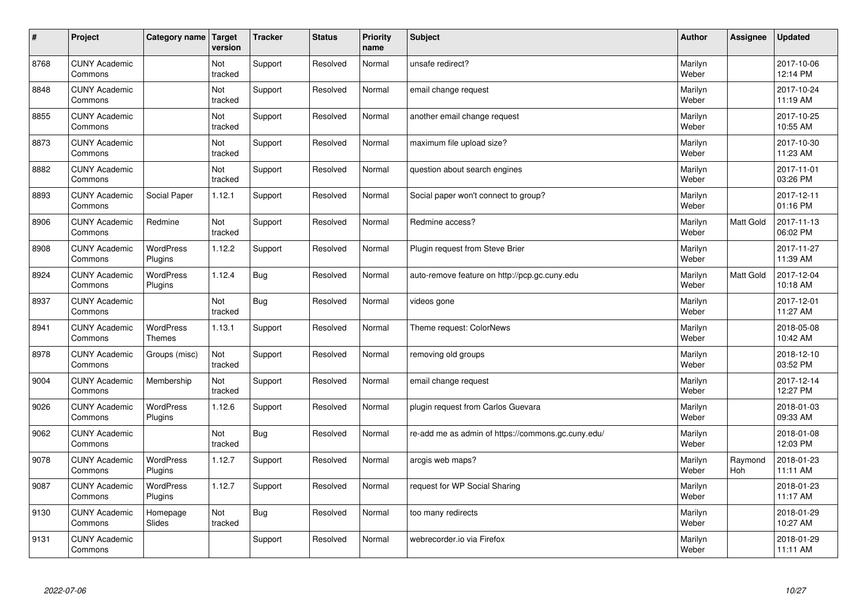| $\vert$ # | Project                         | Category name                     | Target<br>version | <b>Tracker</b> | <b>Status</b> | <b>Priority</b><br>name | <b>Subject</b>                                     | <b>Author</b>    | <b>Assignee</b>  | <b>Updated</b>         |
|-----------|---------------------------------|-----------------------------------|-------------------|----------------|---------------|-------------------------|----------------------------------------------------|------------------|------------------|------------------------|
| 8768      | <b>CUNY Academic</b><br>Commons |                                   | Not<br>tracked    | Support        | Resolved      | Normal                  | unsafe redirect?                                   | Marilyn<br>Weber |                  | 2017-10-06<br>12:14 PM |
| 8848      | <b>CUNY Academic</b><br>Commons |                                   | Not<br>tracked    | Support        | Resolved      | Normal                  | email change request                               | Marilyn<br>Weber |                  | 2017-10-24<br>11:19 AM |
| 8855      | <b>CUNY Academic</b><br>Commons |                                   | Not<br>tracked    | Support        | Resolved      | Normal                  | another email change request                       | Marilyn<br>Weber |                  | 2017-10-25<br>10:55 AM |
| 8873      | <b>CUNY Academic</b><br>Commons |                                   | Not<br>tracked    | Support        | Resolved      | Normal                  | maximum file upload size?                          | Marilyn<br>Weber |                  | 2017-10-30<br>11:23 AM |
| 8882      | <b>CUNY Academic</b><br>Commons |                                   | Not<br>tracked    | Support        | Resolved      | Normal                  | question about search engines                      | Marilyn<br>Weber |                  | 2017-11-01<br>03:26 PM |
| 8893      | <b>CUNY Academic</b><br>Commons | Social Paper                      | 1.12.1            | Support        | Resolved      | Normal                  | Social paper won't connect to group?               | Marilyn<br>Weber |                  | 2017-12-11<br>01:16 PM |
| 8906      | <b>CUNY Academic</b><br>Commons | Redmine                           | Not<br>tracked    | Support        | Resolved      | Normal                  | Redmine access?                                    | Marilyn<br>Weber | <b>Matt Gold</b> | 2017-11-13<br>06:02 PM |
| 8908      | <b>CUNY Academic</b><br>Commons | WordPress<br>Plugins              | 1.12.2            | Support        | Resolved      | Normal                  | Plugin request from Steve Brier                    | Marilyn<br>Weber |                  | 2017-11-27<br>11:39 AM |
| 8924      | <b>CUNY Academic</b><br>Commons | <b>WordPress</b><br>Plugins       | 1.12.4            | Bug            | Resolved      | Normal                  | auto-remove feature on http://pcp.gc.cuny.edu      | Marilyn<br>Weber | <b>Matt Gold</b> | 2017-12-04<br>10:18 AM |
| 8937      | <b>CUNY Academic</b><br>Commons |                                   | Not<br>tracked    | <b>Bug</b>     | Resolved      | Normal                  | videos gone                                        | Marilyn<br>Weber |                  | 2017-12-01<br>11:27 AM |
| 8941      | <b>CUNY Academic</b><br>Commons | <b>WordPress</b><br><b>Themes</b> | 1.13.1            | Support        | Resolved      | Normal                  | Theme request: ColorNews                           | Marilyn<br>Weber |                  | 2018-05-08<br>10:42 AM |
| 8978      | <b>CUNY Academic</b><br>Commons | Groups (misc)                     | Not<br>tracked    | Support        | Resolved      | Normal                  | removing old groups                                | Marilyn<br>Weber |                  | 2018-12-10<br>03:52 PM |
| 9004      | <b>CUNY Academic</b><br>Commons | Membership                        | Not<br>tracked    | Support        | Resolved      | Normal                  | email change request                               | Marilyn<br>Weber |                  | 2017-12-14<br>12:27 PM |
| 9026      | <b>CUNY Academic</b><br>Commons | WordPress<br>Plugins              | 1.12.6            | Support        | Resolved      | Normal                  | plugin request from Carlos Guevara                 | Marilyn<br>Weber |                  | 2018-01-03<br>09:33 AM |
| 9062      | <b>CUNY Academic</b><br>Commons |                                   | Not<br>tracked    | <b>Bug</b>     | Resolved      | Normal                  | re-add me as admin of https://commons.gc.cuny.edu/ | Marilyn<br>Weber |                  | 2018-01-08<br>12:03 PM |
| 9078      | <b>CUNY Academic</b><br>Commons | WordPress<br>Plugins              | 1.12.7            | Support        | Resolved      | Normal                  | arcgis web maps?                                   | Marilyn<br>Weber | Raymond<br>Hoh   | 2018-01-23<br>11:11 AM |
| 9087      | <b>CUNY Academic</b><br>Commons | WordPress<br>Plugins              | 1.12.7            | Support        | Resolved      | Normal                  | request for WP Social Sharing                      | Marilyn<br>Weber |                  | 2018-01-23<br>11:17 AM |
| 9130      | <b>CUNY Academic</b><br>Commons | Homepage<br>Slides                | Not<br>tracked    | <b>Bug</b>     | Resolved      | Normal                  | too many redirects                                 | Marilyn<br>Weber |                  | 2018-01-29<br>10:27 AM |
| 9131      | <b>CUNY Academic</b><br>Commons |                                   |                   | Support        | Resolved      | Normal                  | webrecorder.io via Firefox                         | Marilyn<br>Weber |                  | 2018-01-29<br>11:11 AM |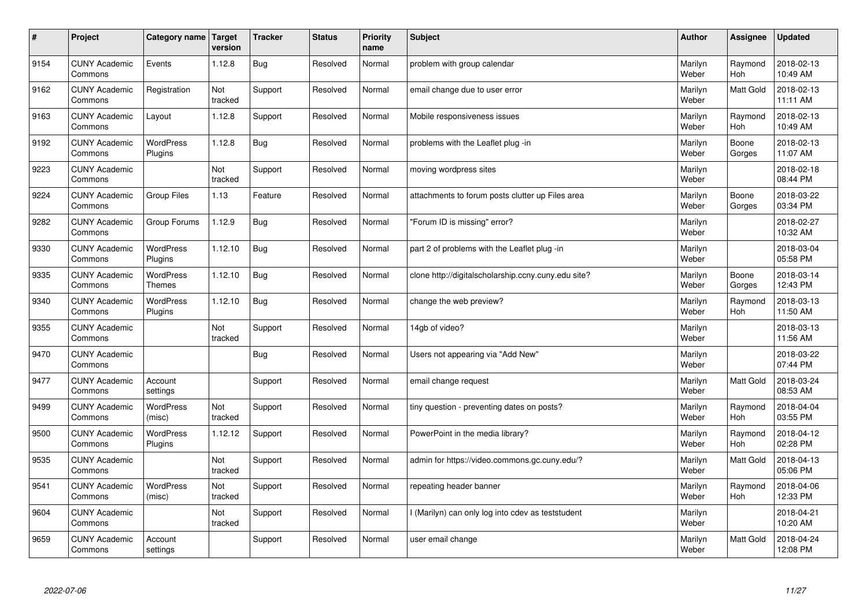| #    | Project                         | Category name   Target      | version        | <b>Tracker</b> | <b>Status</b> | <b>Priority</b><br>name | <b>Subject</b>                                      | <b>Author</b>    | <b>Assignee</b>       | <b>Updated</b>         |
|------|---------------------------------|-----------------------------|----------------|----------------|---------------|-------------------------|-----------------------------------------------------|------------------|-----------------------|------------------------|
| 9154 | <b>CUNY Academic</b><br>Commons | Events                      | 1.12.8         | Bug            | Resolved      | Normal                  | problem with group calendar                         | Marilyn<br>Weber | Raymond<br>Hoh        | 2018-02-13<br>10:49 AM |
| 9162 | <b>CUNY Academic</b><br>Commons | Registration                | Not<br>tracked | Support        | Resolved      | Normal                  | email change due to user error                      | Marilyn<br>Weber | Matt Gold             | 2018-02-13<br>11:11 AM |
| 9163 | <b>CUNY Academic</b><br>Commons | Layout                      | 1.12.8         | Support        | Resolved      | Normal                  | Mobile responsiveness issues                        | Marilyn<br>Weber | Raymond<br>Hoh        | 2018-02-13<br>10:49 AM |
| 9192 | <b>CUNY Academic</b><br>Commons | <b>WordPress</b><br>Plugins | 1.12.8         | Bug            | Resolved      | Normal                  | problems with the Leaflet plug -in                  | Marilyn<br>Weber | Boone<br>Gorges       | 2018-02-13<br>11:07 AM |
| 9223 | <b>CUNY Academic</b><br>Commons |                             | Not<br>tracked | Support        | Resolved      | Normal                  | moving wordpress sites                              | Marilyn<br>Weber |                       | 2018-02-18<br>08:44 PM |
| 9224 | <b>CUNY Academic</b><br>Commons | <b>Group Files</b>          | 1.13           | Feature        | Resolved      | Normal                  | attachments to forum posts clutter up Files area    | Marilyn<br>Weber | Boone<br>Gorges       | 2018-03-22<br>03:34 PM |
| 9282 | <b>CUNY Academic</b><br>Commons | Group Forums                | 1.12.9         | Bug            | Resolved      | Normal                  | 'Forum ID is missing" error?                        | Marilyn<br>Weber |                       | 2018-02-27<br>10:32 AM |
| 9330 | <b>CUNY Academic</b><br>Commons | WordPress<br>Plugins        | 1.12.10        | Bug            | Resolved      | Normal                  | part 2 of problems with the Leaflet plug -in        | Marilyn<br>Weber |                       | 2018-03-04<br>05:58 PM |
| 9335 | <b>CUNY Academic</b><br>Commons | WordPress<br><b>Themes</b>  | 1.12.10        | Bug            | Resolved      | Normal                  | clone http://digitalscholarship.ccny.cuny.edu site? | Marilyn<br>Weber | Boone<br>Gorges       | 2018-03-14<br>12:43 PM |
| 9340 | <b>CUNY Academic</b><br>Commons | <b>WordPress</b><br>Plugins | 1.12.10        | <b>Bug</b>     | Resolved      | Normal                  | change the web preview?                             | Marilyn<br>Weber | Raymond<br>Hoh        | 2018-03-13<br>11:50 AM |
| 9355 | <b>CUNY Academic</b><br>Commons |                             | Not<br>tracked | Support        | Resolved      | Normal                  | 14gb of video?                                      | Marilyn<br>Weber |                       | 2018-03-13<br>11:56 AM |
| 9470 | <b>CUNY Academic</b><br>Commons |                             |                | <b>Bug</b>     | Resolved      | Normal                  | Users not appearing via "Add New"                   | Marilyn<br>Weber |                       | 2018-03-22<br>07:44 PM |
| 9477 | <b>CUNY Academic</b><br>Commons | Account<br>settings         |                | Support        | Resolved      | Normal                  | email change request                                | Marilyn<br>Weber | <b>Matt Gold</b>      | 2018-03-24<br>08:53 AM |
| 9499 | <b>CUNY Academic</b><br>Commons | WordPress<br>(misc)         | Not<br>tracked | Support        | Resolved      | Normal                  | tiny question - preventing dates on posts?          | Marilyn<br>Weber | Raymond<br>Hoh        | 2018-04-04<br>03:55 PM |
| 9500 | <b>CUNY Academic</b><br>Commons | WordPress<br>Plugins        | 1.12.12        | Support        | Resolved      | Normal                  | PowerPoint in the media library?                    | Marilyn<br>Weber | Raymond<br>Hoh        | 2018-04-12<br>02:28 PM |
| 9535 | <b>CUNY Academic</b><br>Commons |                             | Not<br>tracked | Support        | Resolved      | Normal                  | admin for https://video.commons.gc.cuny.edu/?       | Marilyn<br>Weber | <b>Matt Gold</b>      | 2018-04-13<br>05:06 PM |
| 9541 | <b>CUNY Academic</b><br>Commons | <b>WordPress</b><br>(misc)  | Not<br>tracked | Support        | Resolved      | Normal                  | repeating header banner                             | Marilyn<br>Weber | Raymond<br><b>Hoh</b> | 2018-04-06<br>12:33 PM |
| 9604 | <b>CUNY Academic</b><br>Commons |                             | Not<br>tracked | Support        | Resolved      | Normal                  | l (Marilyn) can only log into cdev as teststudent   | Marilyn<br>Weber |                       | 2018-04-21<br>10:20 AM |
| 9659 | <b>CUNY Academic</b><br>Commons | Account<br>settings         |                | Support        | Resolved      | Normal                  | user email change                                   | Marilyn<br>Weber | Matt Gold             | 2018-04-24<br>12:08 PM |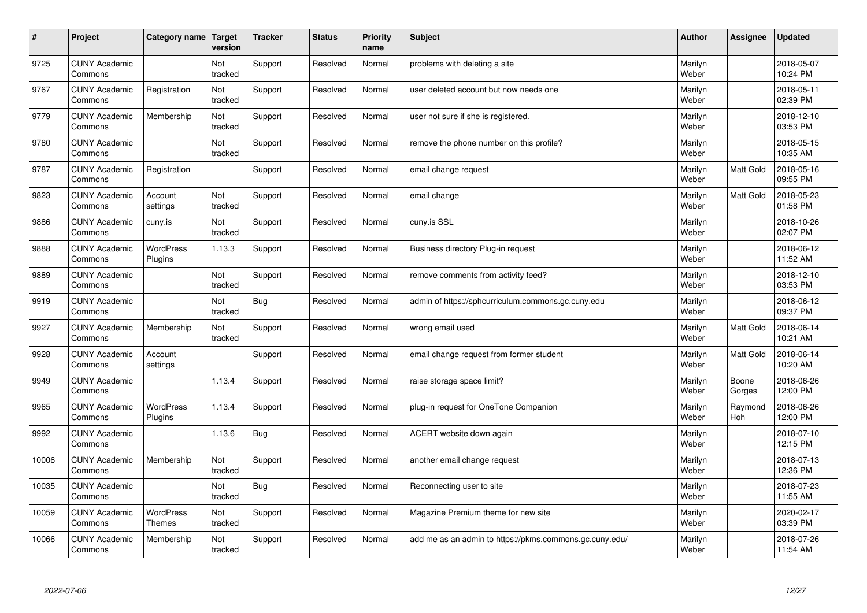| $\vert$ # | Project                         | Category name                     | Target<br>version | <b>Tracker</b> | <b>Status</b> | <b>Priority</b><br>name | <b>Subject</b>                                          | <b>Author</b>    | Assignee         | <b>Updated</b>         |
|-----------|---------------------------------|-----------------------------------|-------------------|----------------|---------------|-------------------------|---------------------------------------------------------|------------------|------------------|------------------------|
| 9725      | <b>CUNY Academic</b><br>Commons |                                   | Not<br>tracked    | Support        | Resolved      | Normal                  | problems with deleting a site                           | Marilyn<br>Weber |                  | 2018-05-07<br>10:24 PM |
| 9767      | <b>CUNY Academic</b><br>Commons | Registration                      | Not<br>tracked    | Support        | Resolved      | Normal                  | user deleted account but now needs one                  | Marilyn<br>Weber |                  | 2018-05-11<br>02:39 PM |
| 9779      | <b>CUNY Academic</b><br>Commons | Membership                        | Not<br>tracked    | Support        | Resolved      | Normal                  | user not sure if she is registered.                     | Marilyn<br>Weber |                  | 2018-12-10<br>03:53 PM |
| 9780      | <b>CUNY Academic</b><br>Commons |                                   | Not<br>tracked    | Support        | Resolved      | Normal                  | remove the phone number on this profile?                | Marilyn<br>Weber |                  | 2018-05-15<br>10:35 AM |
| 9787      | <b>CUNY Academic</b><br>Commons | Registration                      |                   | Support        | Resolved      | Normal                  | email change request                                    | Marilyn<br>Weber | <b>Matt Gold</b> | 2018-05-16<br>09:55 PM |
| 9823      | <b>CUNY Academic</b><br>Commons | Account<br>settings               | Not<br>tracked    | Support        | Resolved      | Normal                  | email change                                            | Marilyn<br>Weber | Matt Gold        | 2018-05-23<br>01:58 PM |
| 9886      | <b>CUNY Academic</b><br>Commons | cuny.is                           | Not<br>tracked    | Support        | Resolved      | Normal                  | cuny.is SSL                                             | Marilyn<br>Weber |                  | 2018-10-26<br>02:07 PM |
| 9888      | <b>CUNY Academic</b><br>Commons | WordPress<br>Plugins              | 1.13.3            | Support        | Resolved      | Normal                  | Business directory Plug-in request                      | Marilyn<br>Weber |                  | 2018-06-12<br>11:52 AM |
| 9889      | <b>CUNY Academic</b><br>Commons |                                   | Not<br>tracked    | Support        | Resolved      | Normal                  | remove comments from activity feed?                     | Marilyn<br>Weber |                  | 2018-12-10<br>03:53 PM |
| 9919      | <b>CUNY Academic</b><br>Commons |                                   | Not<br>tracked    | Bug            | Resolved      | Normal                  | admin of https://sphcurriculum.commons.gc.cuny.edu      | Marilyn<br>Weber |                  | 2018-06-12<br>09:37 PM |
| 9927      | <b>CUNY Academic</b><br>Commons | Membership                        | Not<br>tracked    | Support        | Resolved      | Normal                  | wrong email used                                        | Marilyn<br>Weber | Matt Gold        | 2018-06-14<br>10:21 AM |
| 9928      | <b>CUNY Academic</b><br>Commons | Account<br>settings               |                   | Support        | Resolved      | Normal                  | email change request from former student                | Marilyn<br>Weber | <b>Matt Gold</b> | 2018-06-14<br>10:20 AM |
| 9949      | <b>CUNY Academic</b><br>Commons |                                   | 1.13.4            | Support        | Resolved      | Normal                  | raise storage space limit?                              | Marilyn<br>Weber | Boone<br>Gorges  | 2018-06-26<br>12:00 PM |
| 9965      | <b>CUNY Academic</b><br>Commons | WordPress<br>Plugins              | 1.13.4            | Support        | Resolved      | Normal                  | plug-in request for OneTone Companion                   | Marilyn<br>Weber | Raymond<br>Hoh   | 2018-06-26<br>12:00 PM |
| 9992      | <b>CUNY Academic</b><br>Commons |                                   | 1.13.6            | <b>Bug</b>     | Resolved      | Normal                  | ACERT website down again                                | Marilyn<br>Weber |                  | 2018-07-10<br>12:15 PM |
| 10006     | <b>CUNY Academic</b><br>Commons | Membership                        | Not<br>tracked    | Support        | Resolved      | Normal                  | another email change request                            | Marilyn<br>Weber |                  | 2018-07-13<br>12:36 PM |
| 10035     | <b>CUNY Academic</b><br>Commons |                                   | Not<br>tracked    | <b>Bug</b>     | Resolved      | Normal                  | Reconnecting user to site                               | Marilyn<br>Weber |                  | 2018-07-23<br>11:55 AM |
| 10059     | <b>CUNY Academic</b><br>Commons | <b>WordPress</b><br><b>Themes</b> | Not<br>tracked    | Support        | Resolved      | Normal                  | Magazine Premium theme for new site                     | Marilyn<br>Weber |                  | 2020-02-17<br>03:39 PM |
| 10066     | <b>CUNY Academic</b><br>Commons | Membership                        | Not<br>tracked    | Support        | Resolved      | Normal                  | add me as an admin to https://pkms.commons.gc.cuny.edu/ | Marilyn<br>Weber |                  | 2018-07-26<br>11:54 AM |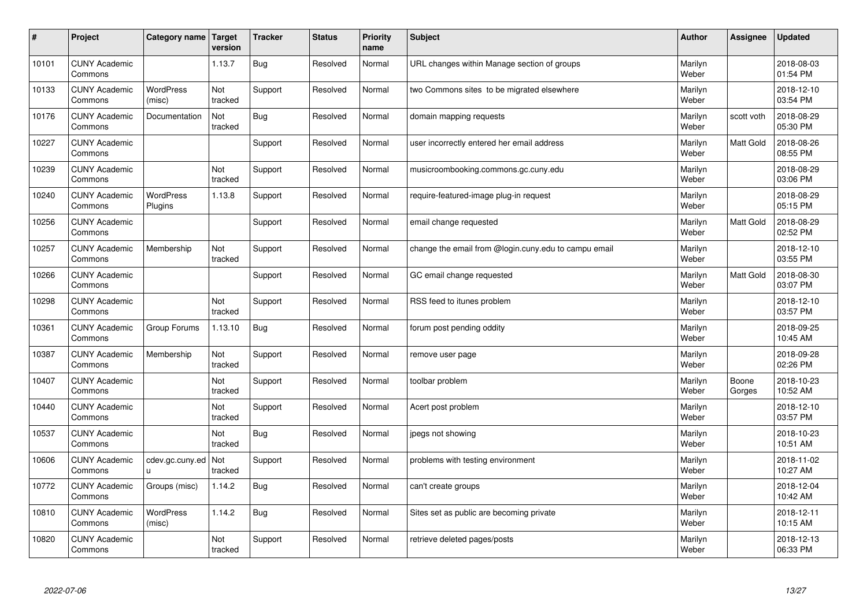| #     | Project                         | Category name               | Target<br>version     | <b>Tracker</b> | <b>Status</b> | <b>Priority</b><br>name | <b>Subject</b>                                       | <b>Author</b>    | Assignee         | <b>Updated</b>         |
|-------|---------------------------------|-----------------------------|-----------------------|----------------|---------------|-------------------------|------------------------------------------------------|------------------|------------------|------------------------|
| 10101 | <b>CUNY Academic</b><br>Commons |                             | 1.13.7                | Bug            | Resolved      | Normal                  | URL changes within Manage section of groups          | Marilyn<br>Weber |                  | 2018-08-03<br>01:54 PM |
| 10133 | <b>CUNY Academic</b><br>Commons | <b>WordPress</b><br>(misc)  | Not<br>tracked        | Support        | Resolved      | Normal                  | two Commons sites to be migrated elsewhere           | Marilyn<br>Weber |                  | 2018-12-10<br>03:54 PM |
| 10176 | <b>CUNY Academic</b><br>Commons | Documentation               | Not<br>tracked        | <b>Bug</b>     | Resolved      | Normal                  | domain mapping requests                              | Marilyn<br>Weber | scott voth       | 2018-08-29<br>05:30 PM |
| 10227 | <b>CUNY Academic</b><br>Commons |                             |                       | Support        | Resolved      | Normal                  | user incorrectly entered her email address           | Marilyn<br>Weber | Matt Gold        | 2018-08-26<br>08:55 PM |
| 10239 | <b>CUNY Academic</b><br>Commons |                             | Not<br>tracked        | Support        | Resolved      | Normal                  | musicroombooking.commons.gc.cuny.edu                 | Marilyn<br>Weber |                  | 2018-08-29<br>03:06 PM |
| 10240 | <b>CUNY Academic</b><br>Commons | <b>WordPress</b><br>Plugins | 1.13.8                | Support        | Resolved      | Normal                  | require-featured-image plug-in request               | Marilyn<br>Weber |                  | 2018-08-29<br>05:15 PM |
| 10256 | <b>CUNY Academic</b><br>Commons |                             |                       | Support        | Resolved      | Normal                  | email change requested                               | Marilyn<br>Weber | Matt Gold        | 2018-08-29<br>02:52 PM |
| 10257 | <b>CUNY Academic</b><br>Commons | Membership                  | Not<br>tracked        | Support        | Resolved      | Normal                  | change the email from @login.cuny.edu to campu email | Marilyn<br>Weber |                  | 2018-12-10<br>03:55 PM |
| 10266 | <b>CUNY Academic</b><br>Commons |                             |                       | Support        | Resolved      | Normal                  | GC email change requested                            | Marilyn<br>Weber | <b>Matt Gold</b> | 2018-08-30<br>03:07 PM |
| 10298 | <b>CUNY Academic</b><br>Commons |                             | Not<br>tracked        | Support        | Resolved      | Normal                  | RSS feed to itunes problem                           | Marilyn<br>Weber |                  | 2018-12-10<br>03:57 PM |
| 10361 | <b>CUNY Academic</b><br>Commons | Group Forums                | 1.13.10               | <b>Bug</b>     | Resolved      | Normal                  | forum post pending oddity                            | Marilyn<br>Weber |                  | 2018-09-25<br>10:45 AM |
| 10387 | <b>CUNY Academic</b><br>Commons | Membership                  | Not<br>tracked        | Support        | Resolved      | Normal                  | remove user page                                     | Marilyn<br>Weber |                  | 2018-09-28<br>02:26 PM |
| 10407 | <b>CUNY Academic</b><br>Commons |                             | Not<br>tracked        | Support        | Resolved      | Normal                  | toolbar problem                                      | Marilyn<br>Weber | Boone<br>Gorges  | 2018-10-23<br>10:52 AM |
| 10440 | <b>CUNY Academic</b><br>Commons |                             | Not<br>tracked        | Support        | Resolved      | Normal                  | Acert post problem                                   | Marilyn<br>Weber |                  | 2018-12-10<br>03:57 PM |
| 10537 | <b>CUNY Academic</b><br>Commons |                             | Not<br>tracked        | <b>Bug</b>     | Resolved      | Normal                  | jpegs not showing                                    | Marilyn<br>Weber |                  | 2018-10-23<br>10:51 AM |
| 10606 | <b>CUNY Academic</b><br>Commons | cdev.gc.cuny.ed<br>ū.       | <b>Not</b><br>tracked | Support        | Resolved      | Normal                  | problems with testing environment                    | Marilyn<br>Weber |                  | 2018-11-02<br>10:27 AM |
| 10772 | <b>CUNY Academic</b><br>Commons | Groups (misc)               | 1.14.2                | <b>Bug</b>     | Resolved      | Normal                  | can't create groups                                  | Marilyn<br>Weber |                  | 2018-12-04<br>10:42 AM |
| 10810 | <b>CUNY Academic</b><br>Commons | WordPress<br>(misc)         | 1.14.2                | <b>Bug</b>     | Resolved      | Normal                  | Sites set as public are becoming private             | Marilyn<br>Weber |                  | 2018-12-11<br>10:15 AM |
| 10820 | <b>CUNY Academic</b><br>Commons |                             | Not<br>tracked        | Support        | Resolved      | Normal                  | retrieve deleted pages/posts                         | Marilyn<br>Weber |                  | 2018-12-13<br>06:33 PM |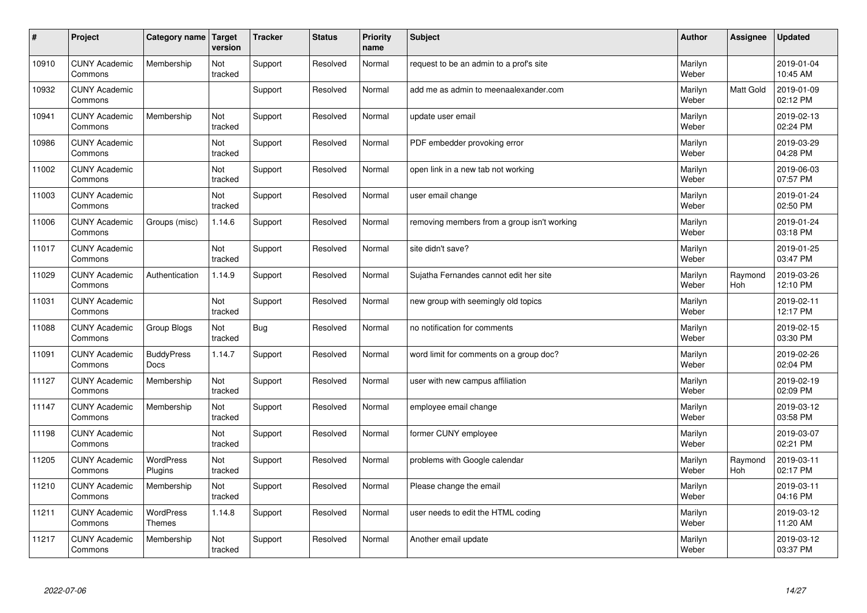| $\pmb{\#}$ | Project                         | <b>Category name</b>              | <b>Target</b><br>version | <b>Tracker</b> | <b>Status</b> | <b>Priority</b><br>name | <b>Subject</b>                              | <b>Author</b>    | Assignee       | <b>Updated</b>         |
|------------|---------------------------------|-----------------------------------|--------------------------|----------------|---------------|-------------------------|---------------------------------------------|------------------|----------------|------------------------|
| 10910      | <b>CUNY Academic</b><br>Commons | Membership                        | Not<br>tracked           | Support        | Resolved      | Normal                  | request to be an admin to a prof's site     | Marilyn<br>Weber |                | 2019-01-04<br>10:45 AM |
| 10932      | <b>CUNY Academic</b><br>Commons |                                   |                          | Support        | Resolved      | Normal                  | add me as admin to meenaalexander.com       | Marilyn<br>Weber | Matt Gold      | 2019-01-09<br>02:12 PM |
| 10941      | <b>CUNY Academic</b><br>Commons | Membership                        | Not<br>tracked           | Support        | Resolved      | Normal                  | update user email                           | Marilyn<br>Weber |                | 2019-02-13<br>02:24 PM |
| 10986      | <b>CUNY Academic</b><br>Commons |                                   | Not<br>tracked           | Support        | Resolved      | Normal                  | PDF embedder provoking error                | Marilyn<br>Weber |                | 2019-03-29<br>04:28 PM |
| 11002      | <b>CUNY Academic</b><br>Commons |                                   | Not<br>tracked           | Support        | Resolved      | Normal                  | open link in a new tab not working          | Marilyn<br>Weber |                | 2019-06-03<br>07:57 PM |
| 11003      | <b>CUNY Academic</b><br>Commons |                                   | Not<br>tracked           | Support        | Resolved      | Normal                  | user email change                           | Marilyn<br>Weber |                | 2019-01-24<br>02:50 PM |
| 11006      | <b>CUNY Academic</b><br>Commons | Groups (misc)                     | 1.14.6                   | Support        | Resolved      | Normal                  | removing members from a group isn't working | Marilyn<br>Weber |                | 2019-01-24<br>03:18 PM |
| 11017      | <b>CUNY Academic</b><br>Commons |                                   | Not<br>tracked           | Support        | Resolved      | Normal                  | site didn't save?                           | Marilyn<br>Weber |                | 2019-01-25<br>03:47 PM |
| 11029      | <b>CUNY Academic</b><br>Commons | Authentication                    | 1.14.9                   | Support        | Resolved      | Normal                  | Sujatha Fernandes cannot edit her site      | Marilyn<br>Weber | Raymond<br>Hoh | 2019-03-26<br>12:10 PM |
| 11031      | <b>CUNY Academic</b><br>Commons |                                   | Not<br>tracked           | Support        | Resolved      | Normal                  | new group with seemingly old topics         | Marilyn<br>Weber |                | 2019-02-11<br>12:17 PM |
| 11088      | <b>CUNY Academic</b><br>Commons | Group Blogs                       | Not<br>tracked           | Bug            | Resolved      | Normal                  | no notification for comments                | Marilyn<br>Weber |                | 2019-02-15<br>03:30 PM |
| 11091      | <b>CUNY Academic</b><br>Commons | <b>BuddyPress</b><br><b>Docs</b>  | 1.14.7                   | Support        | Resolved      | Normal                  | word limit for comments on a group doc?     | Marilyn<br>Weber |                | 2019-02-26<br>02:04 PM |
| 11127      | <b>CUNY Academic</b><br>Commons | Membership                        | Not<br>tracked           | Support        | Resolved      | Normal                  | user with new campus affiliation            | Marilyn<br>Weber |                | 2019-02-19<br>02:09 PM |
| 11147      | <b>CUNY Academic</b><br>Commons | Membership                        | Not<br>tracked           | Support        | Resolved      | Normal                  | employee email change                       | Marilyn<br>Weber |                | 2019-03-12<br>03:58 PM |
| 11198      | <b>CUNY Academic</b><br>Commons |                                   | Not<br>tracked           | Support        | Resolved      | Normal                  | former CUNY employee                        | Marilyn<br>Weber |                | 2019-03-07<br>02:21 PM |
| 11205      | <b>CUNY Academic</b><br>Commons | WordPress<br>Plugins              | Not<br>tracked           | Support        | Resolved      | Normal                  | problems with Google calendar               | Marilyn<br>Weber | Raymond<br>Hoh | 2019-03-11<br>02:17 PM |
| 11210      | <b>CUNY Academic</b><br>Commons | Membership                        | Not<br>tracked           | Support        | Resolved      | Normal                  | Please change the email                     | Marilyn<br>Weber |                | 2019-03-11<br>04:16 PM |
| 11211      | <b>CUNY Academic</b><br>Commons | <b>WordPress</b><br><b>Themes</b> | 1.14.8                   | Support        | Resolved      | Normal                  | user needs to edit the HTML coding          | Marilyn<br>Weber |                | 2019-03-12<br>11:20 AM |
| 11217      | <b>CUNY Academic</b><br>Commons | Membership                        | Not<br>tracked           | Support        | Resolved      | Normal                  | Another email update                        | Marilyn<br>Weber |                | 2019-03-12<br>03:37 PM |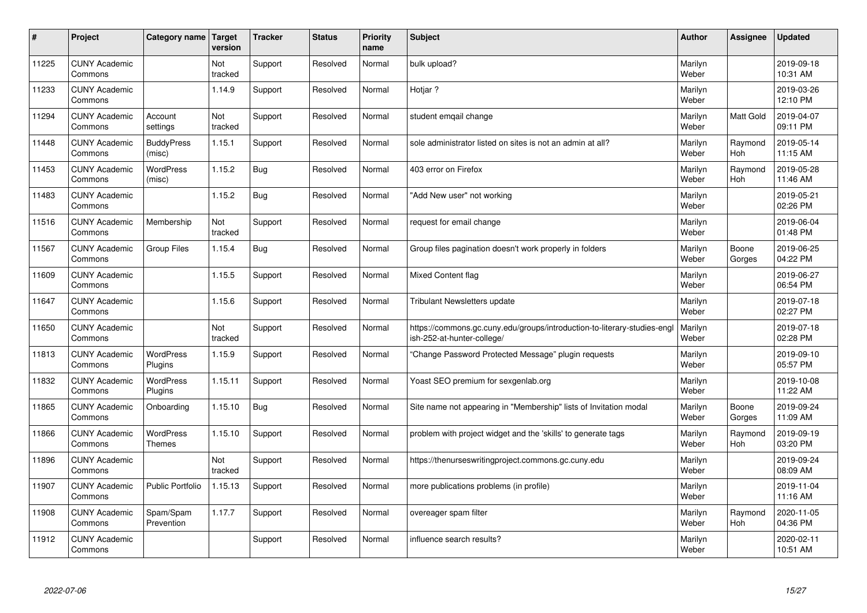| $\sharp$ | Project                         | Category name   Target            | version        | <b>Tracker</b> | <b>Status</b> | <b>Priority</b><br>name | <b>Subject</b>                                                                                         | <b>Author</b>    | Assignee              | <b>Updated</b>         |
|----------|---------------------------------|-----------------------------------|----------------|----------------|---------------|-------------------------|--------------------------------------------------------------------------------------------------------|------------------|-----------------------|------------------------|
| 11225    | <b>CUNY Academic</b><br>Commons |                                   | Not<br>tracked | Support        | Resolved      | Normal                  | bulk upload?                                                                                           | Marilyn<br>Weber |                       | 2019-09-18<br>10:31 AM |
| 11233    | <b>CUNY Academic</b><br>Commons |                                   | 1.14.9         | Support        | Resolved      | Normal                  | Hotjar ?                                                                                               | Marilyn<br>Weber |                       | 2019-03-26<br>12:10 PM |
| 11294    | <b>CUNY Academic</b><br>Commons | Account<br>settings               | Not<br>tracked | Support        | Resolved      | Normal                  | student emgail change                                                                                  | Marilyn<br>Weber | <b>Matt Gold</b>      | 2019-04-07<br>09:11 PM |
| 11448    | <b>CUNY Academic</b><br>Commons | <b>BuddyPress</b><br>(misc)       | 1.15.1         | Support        | Resolved      | Normal                  | sole administrator listed on sites is not an admin at all?                                             | Marilyn<br>Weber | Raymond<br>Hoh        | 2019-05-14<br>11:15 AM |
| 11453    | <b>CUNY Academic</b><br>Commons | <b>WordPress</b><br>(misc)        | 1.15.2         | Bug            | Resolved      | Normal                  | 403 error on Firefox                                                                                   | Marilyn<br>Weber | Raymond<br><b>Hoh</b> | 2019-05-28<br>11:46 AM |
| 11483    | <b>CUNY Academic</b><br>Commons |                                   | 1.15.2         | Bug            | Resolved      | Normal                  | 'Add New user" not working                                                                             | Marilyn<br>Weber |                       | 2019-05-21<br>02:26 PM |
| 11516    | <b>CUNY Academic</b><br>Commons | Membership                        | Not<br>tracked | Support        | Resolved      | Normal                  | request for email change                                                                               | Marilyn<br>Weber |                       | 2019-06-04<br>01:48 PM |
| 11567    | <b>CUNY Academic</b><br>Commons | <b>Group Files</b>                | 1.15.4         | Bug            | Resolved      | Normal                  | Group files pagination doesn't work properly in folders                                                | Marilyn<br>Weber | Boone<br>Gorges       | 2019-06-25<br>04:22 PM |
| 11609    | <b>CUNY Academic</b><br>Commons |                                   | 1.15.5         | Support        | Resolved      | Normal                  | <b>Mixed Content flag</b>                                                                              | Marilyn<br>Weber |                       | 2019-06-27<br>06:54 PM |
| 11647    | <b>CUNY Academic</b><br>Commons |                                   | 1.15.6         | Support        | Resolved      | Normal                  | <b>Tribulant Newsletters update</b>                                                                    | Marilyn<br>Weber |                       | 2019-07-18<br>02:27 PM |
| 11650    | <b>CUNY Academic</b><br>Commons |                                   | Not<br>tracked | Support        | Resolved      | Normal                  | https://commons.gc.cuny.edu/groups/introduction-to-literary-studies-engl<br>ish-252-at-hunter-college/ | Marilyn<br>Weber |                       | 2019-07-18<br>02:28 PM |
| 11813    | <b>CUNY Academic</b><br>Commons | <b>WordPress</b><br>Plugins       | 1.15.9         | Support        | Resolved      | Normal                  | Change Password Protected Message" plugin requests                                                     | Marilyn<br>Weber |                       | 2019-09-10<br>05:57 PM |
| 11832    | <b>CUNY Academic</b><br>Commons | <b>WordPress</b><br>Plugins       | 1.15.11        | Support        | Resolved      | Normal                  | Yoast SEO premium for sexgenlab.org                                                                    | Marilyn<br>Weber |                       | 2019-10-08<br>11:22 AM |
| 11865    | <b>CUNY Academic</b><br>Commons | Onboarding                        | 1.15.10        | <b>Bug</b>     | Resolved      | Normal                  | Site name not appearing in "Membership" lists of Invitation modal                                      | Marilyn<br>Weber | Boone<br>Gorges       | 2019-09-24<br>11:09 AM |
| 11866    | <b>CUNY Academic</b><br>Commons | <b>WordPress</b><br><b>Themes</b> | 1.15.10        | Support        | Resolved      | Normal                  | problem with project widget and the 'skills' to generate tags                                          | Marilyn<br>Weber | Raymond<br><b>Hoh</b> | 2019-09-19<br>03:20 PM |
| 11896    | <b>CUNY Academic</b><br>Commons |                                   | Not<br>tracked | Support        | Resolved      | Normal                  | https://thenurseswritingproject.commons.gc.cuny.edu                                                    | Marilyn<br>Weber |                       | 2019-09-24<br>08:09 AM |
| 11907    | <b>CUNY Academic</b><br>Commons | <b>Public Portfolio</b>           | 1.15.13        | Support        | Resolved      | Normal                  | more publications problems (in profile)                                                                | Marilyn<br>Weber |                       | 2019-11-04<br>11:16 AM |
| 11908    | <b>CUNY Academic</b><br>Commons | Spam/Spam<br>Prevention           | 1.17.7         | Support        | Resolved      | Normal                  | overeager spam filter                                                                                  | Marilyn<br>Weber | Raymond<br>Hoh        | 2020-11-05<br>04:36 PM |
| 11912    | <b>CUNY Academic</b><br>Commons |                                   |                | Support        | Resolved      | Normal                  | influence search results?                                                                              | Marilyn<br>Weber |                       | 2020-02-11<br>10:51 AM |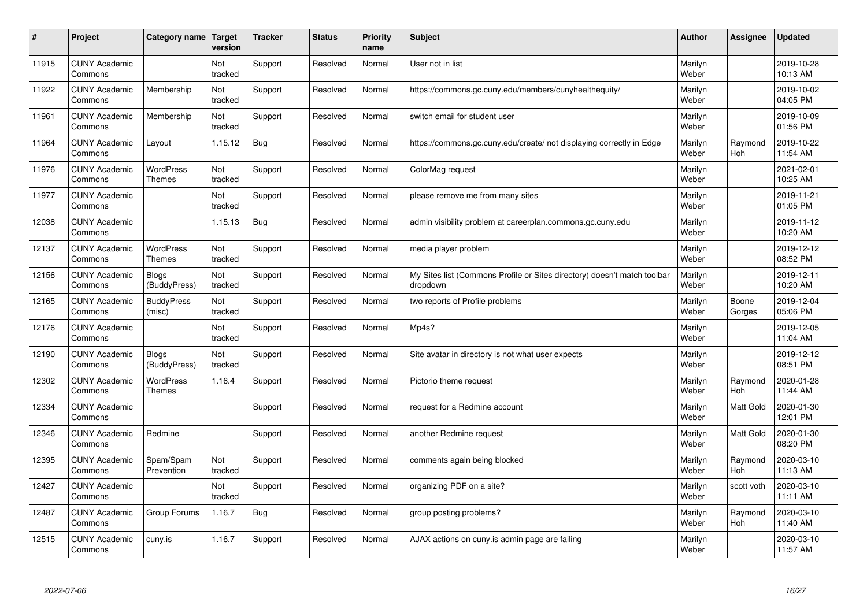| $\sharp$ | Project                         | Category name                     | <b>Target</b><br>version | <b>Tracker</b> | <b>Status</b> | <b>Priority</b><br>name | <b>Subject</b>                                                                       | <b>Author</b>    | Assignee              | <b>Updated</b>         |
|----------|---------------------------------|-----------------------------------|--------------------------|----------------|---------------|-------------------------|--------------------------------------------------------------------------------------|------------------|-----------------------|------------------------|
| 11915    | <b>CUNY Academic</b><br>Commons |                                   | Not<br>tracked           | Support        | Resolved      | Normal                  | User not in list                                                                     | Marilyn<br>Weber |                       | 2019-10-28<br>10:13 AM |
| 11922    | <b>CUNY Academic</b><br>Commons | Membership                        | Not<br>tracked           | Support        | Resolved      | Normal                  | https://commons.gc.cuny.edu/members/cunyhealthequity/                                | Marilyn<br>Weber |                       | 2019-10-02<br>04:05 PM |
| 11961    | <b>CUNY Academic</b><br>Commons | Membership                        | Not<br>tracked           | Support        | Resolved      | Normal                  | switch email for student user                                                        | Marilyn<br>Weber |                       | 2019-10-09<br>01:56 PM |
| 11964    | <b>CUNY Academic</b><br>Commons | Layout                            | 1.15.12                  | <b>Bug</b>     | Resolved      | Normal                  | https://commons.gc.cuny.edu/create/ not displaying correctly in Edge                 | Marilyn<br>Weber | Raymond<br><b>Hoh</b> | 2019-10-22<br>11:54 AM |
| 11976    | <b>CUNY Academic</b><br>Commons | <b>WordPress</b><br><b>Themes</b> | Not<br>tracked           | Support        | Resolved      | Normal                  | ColorMag request                                                                     | Marilyn<br>Weber |                       | 2021-02-01<br>10:25 AM |
| 11977    | <b>CUNY Academic</b><br>Commons |                                   | Not<br>tracked           | Support        | Resolved      | Normal                  | please remove me from many sites                                                     | Marilyn<br>Weber |                       | 2019-11-21<br>01:05 PM |
| 12038    | <b>CUNY Academic</b><br>Commons |                                   | 1.15.13                  | <b>Bug</b>     | Resolved      | Normal                  | admin visibility problem at careerplan.commons.gc.cuny.edu                           | Marilyn<br>Weber |                       | 2019-11-12<br>10:20 AM |
| 12137    | <b>CUNY Academic</b><br>Commons | <b>WordPress</b><br><b>Themes</b> | Not<br>tracked           | Support        | Resolved      | Normal                  | media player problem                                                                 | Marilyn<br>Weber |                       | 2019-12-12<br>08:52 PM |
| 12156    | <b>CUNY Academic</b><br>Commons | <b>Blogs</b><br>(BuddyPress)      | Not<br>tracked           | Support        | Resolved      | Normal                  | My Sites list (Commons Profile or Sites directory) doesn't match toolbar<br>dropdown | Marilyn<br>Weber |                       | 2019-12-11<br>10:20 AM |
| 12165    | <b>CUNY Academic</b><br>Commons | <b>BuddyPress</b><br>(misc)       | Not<br>tracked           | Support        | Resolved      | Normal                  | two reports of Profile problems                                                      | Marilyn<br>Weber | Boone<br>Gorges       | 2019-12-04<br>05:06 PM |
| 12176    | <b>CUNY Academic</b><br>Commons |                                   | Not<br>tracked           | Support        | Resolved      | Normal                  | Mp4s?                                                                                | Marilyn<br>Weber |                       | 2019-12-05<br>11:04 AM |
| 12190    | <b>CUNY Academic</b><br>Commons | <b>Blogs</b><br>(BuddyPress)      | Not<br>tracked           | Support        | Resolved      | Normal                  | Site avatar in directory is not what user expects                                    | Marilyn<br>Weber |                       | 2019-12-12<br>08:51 PM |
| 12302    | <b>CUNY Academic</b><br>Commons | <b>WordPress</b><br><b>Themes</b> | 1.16.4                   | Support        | Resolved      | Normal                  | Pictorio theme request                                                               | Marilyn<br>Weber | Raymond<br>Hoh        | 2020-01-28<br>11:44 AM |
| 12334    | <b>CUNY Academic</b><br>Commons |                                   |                          | Support        | Resolved      | Normal                  | request for a Redmine account                                                        | Marilyn<br>Weber | Matt Gold             | 2020-01-30<br>12:01 PM |
| 12346    | <b>CUNY Academic</b><br>Commons | Redmine                           |                          | Support        | Resolved      | Normal                  | another Redmine request                                                              | Marilyn<br>Weber | Matt Gold             | 2020-01-30<br>08:20 PM |
| 12395    | <b>CUNY Academic</b><br>Commons | Spam/Spam<br>Prevention           | Not<br>tracked           | Support        | Resolved      | Normal                  | comments again being blocked                                                         | Marilyn<br>Weber | Raymond<br>Hoh        | 2020-03-10<br>11:13 AM |
| 12427    | <b>CUNY Academic</b><br>Commons |                                   | Not<br>tracked           | Support        | Resolved      | Normal                  | organizing PDF on a site?                                                            | Marilyn<br>Weber | scott voth            | 2020-03-10<br>11:11 AM |
| 12487    | <b>CUNY Academic</b><br>Commons | Group Forums                      | 1.16.7                   | <b>Bug</b>     | Resolved      | Normal                  | group posting problems?                                                              | Marilyn<br>Weber | Raymond<br>Hoh        | 2020-03-10<br>11:40 AM |
| 12515    | <b>CUNY Academic</b><br>Commons | cuny.is                           | 1.16.7                   | Support        | Resolved      | Normal                  | AJAX actions on cuny is admin page are failing                                       | Marilyn<br>Weber |                       | 2020-03-10<br>11:57 AM |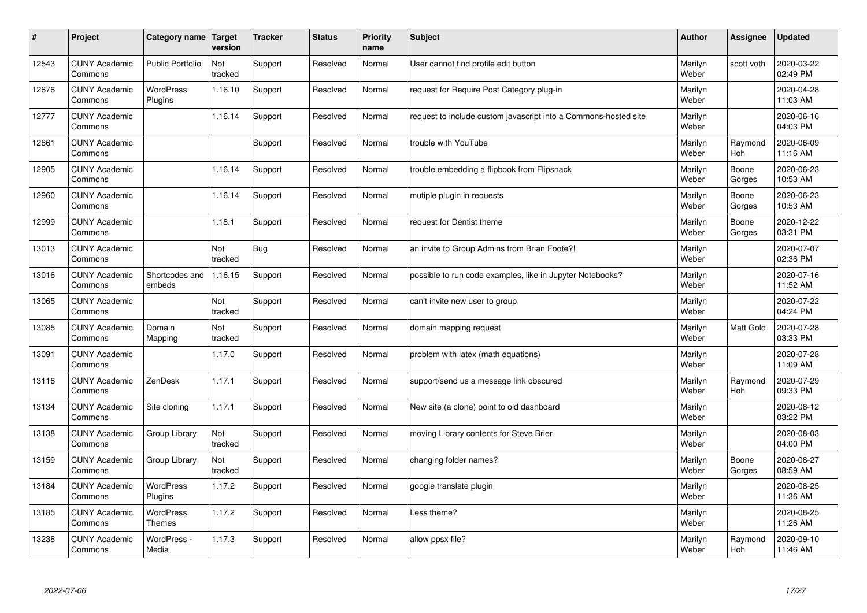| $\sharp$ | Project                         | Category name   Target            | version        | <b>Tracker</b> | <b>Status</b> | <b>Priority</b><br>name | <b>Subject</b>                                                  | <b>Author</b>    | Assignee              | <b>Updated</b>         |
|----------|---------------------------------|-----------------------------------|----------------|----------------|---------------|-------------------------|-----------------------------------------------------------------|------------------|-----------------------|------------------------|
| 12543    | <b>CUNY Academic</b><br>Commons | <b>Public Portfolio</b>           | Not<br>tracked | Support        | Resolved      | Normal                  | User cannot find profile edit button                            | Marilyn<br>Weber | scott voth            | 2020-03-22<br>02:49 PM |
| 12676    | <b>CUNY Academic</b><br>Commons | <b>WordPress</b><br>Plugins       | 1.16.10        | Support        | Resolved      | Normal                  | request for Require Post Category plug-in                       | Marilyn<br>Weber |                       | 2020-04-28<br>11:03 AM |
| 12777    | <b>CUNY Academic</b><br>Commons |                                   | 1.16.14        | Support        | Resolved      | Normal                  | request to include custom javascript into a Commons-hosted site | Marilyn<br>Weber |                       | 2020-06-16<br>04:03 PM |
| 12861    | <b>CUNY Academic</b><br>Commons |                                   |                | Support        | Resolved      | Normal                  | trouble with YouTube                                            | Marilyn<br>Weber | Raymond<br><b>Hoh</b> | 2020-06-09<br>11:16 AM |
| 12905    | <b>CUNY Academic</b><br>Commons |                                   | 1.16.14        | Support        | Resolved      | Normal                  | trouble embedding a flipbook from Flipsnack                     | Marilyn<br>Weber | Boone<br>Gorges       | 2020-06-23<br>10:53 AM |
| 12960    | <b>CUNY Academic</b><br>Commons |                                   | 1.16.14        | Support        | Resolved      | Normal                  | mutiple plugin in requests                                      | Marilyn<br>Weber | Boone<br>Gorges       | 2020-06-23<br>10:53 AM |
| 12999    | <b>CUNY Academic</b><br>Commons |                                   | 1.18.1         | Support        | Resolved      | Normal                  | request for Dentist theme                                       | Marilyn<br>Weber | Boone<br>Gorges       | 2020-12-22<br>03:31 PM |
| 13013    | <b>CUNY Academic</b><br>Commons |                                   | Not<br>tracked | Bug            | Resolved      | Normal                  | an invite to Group Admins from Brian Foote?!                    | Marilyn<br>Weber |                       | 2020-07-07<br>02:36 PM |
| 13016    | <b>CUNY Academic</b><br>Commons | Shortcodes and<br>embeds          | 1.16.15        | Support        | Resolved      | Normal                  | possible to run code examples, like in Jupyter Notebooks?       | Marilyn<br>Weber |                       | 2020-07-16<br>11:52 AM |
| 13065    | <b>CUNY Academic</b><br>Commons |                                   | Not<br>tracked | Support        | Resolved      | Normal                  | can't invite new user to group                                  | Marilyn<br>Weber |                       | 2020-07-22<br>04:24 PM |
| 13085    | <b>CUNY Academic</b><br>Commons | Domain<br>Mapping                 | Not<br>tracked | Support        | Resolved      | Normal                  | domain mapping request                                          | Marilyn<br>Weber | <b>Matt Gold</b>      | 2020-07-28<br>03:33 PM |
| 13091    | <b>CUNY Academic</b><br>Commons |                                   | 1.17.0         | Support        | Resolved      | Normal                  | problem with latex (math equations)                             | Marilyn<br>Weber |                       | 2020-07-28<br>11:09 AM |
| 13116    | <b>CUNY Academic</b><br>Commons | ZenDesk                           | 1.17.1         | Support        | Resolved      | Normal                  | support/send us a message link obscured                         | Marilyn<br>Weber | Raymond<br>Hoh        | 2020-07-29<br>09:33 PM |
| 13134    | <b>CUNY Academic</b><br>Commons | Site cloning                      | 1.17.1         | Support        | Resolved      | Normal                  | New site (a clone) point to old dashboard                       | Marilyn<br>Weber |                       | 2020-08-12<br>03:22 PM |
| 13138    | <b>CUNY Academic</b><br>Commons | Group Library                     | Not<br>tracked | Support        | Resolved      | Normal                  | moving Library contents for Steve Brier                         | Marilyn<br>Weber |                       | 2020-08-03<br>04:00 PM |
| 13159    | <b>CUNY Academic</b><br>Commons | Group Library                     | Not<br>tracked | Support        | Resolved      | Normal                  | changing folder names?                                          | Marilyn<br>Weber | Boone<br>Gorges       | 2020-08-27<br>08:59 AM |
| 13184    | <b>CUNY Academic</b><br>Commons | WordPress<br>Plugins              | 1.17.2         | Support        | Resolved      | Normal                  | google translate plugin                                         | Marilyn<br>Weber |                       | 2020-08-25<br>11:36 AM |
| 13185    | <b>CUNY Academic</b><br>Commons | <b>WordPress</b><br><b>Themes</b> | 1.17.2         | Support        | Resolved      | Normal                  | Less theme?                                                     | Marilyn<br>Weber |                       | 2020-08-25<br>11:26 AM |
| 13238    | <b>CUNY Academic</b><br>Commons | WordPress -<br>Media              | 1.17.3         | Support        | Resolved      | Normal                  | allow ppsx file?                                                | Marilyn<br>Weber | Raymond<br>Hoh        | 2020-09-10<br>11:46 AM |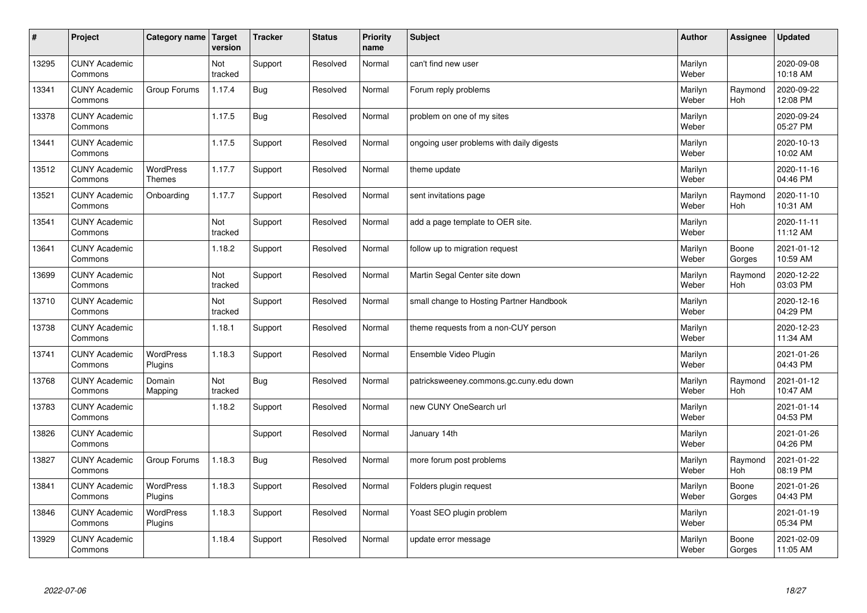| $\sharp$ | Project                         | Category name   Target            | version        | <b>Tracker</b> | <b>Status</b> | <b>Priority</b><br>name | <b>Subject</b>                           | <b>Author</b>    | <b>Assignee</b>       | <b>Updated</b>         |
|----------|---------------------------------|-----------------------------------|----------------|----------------|---------------|-------------------------|------------------------------------------|------------------|-----------------------|------------------------|
| 13295    | <b>CUNY Academic</b><br>Commons |                                   | Not<br>tracked | Support        | Resolved      | Normal                  | can't find new user                      | Marilyn<br>Weber |                       | 2020-09-08<br>10:18 AM |
| 13341    | <b>CUNY Academic</b><br>Commons | Group Forums                      | 1.17.4         | <b>Bug</b>     | Resolved      | Normal                  | Forum reply problems                     | Marilyn<br>Weber | Raymond<br><b>Hoh</b> | 2020-09-22<br>12:08 PM |
| 13378    | <b>CUNY Academic</b><br>Commons |                                   | 1.17.5         | <b>Bug</b>     | Resolved      | Normal                  | problem on one of my sites               | Marilyn<br>Weber |                       | 2020-09-24<br>05:27 PM |
| 13441    | <b>CUNY Academic</b><br>Commons |                                   | 1.17.5         | Support        | Resolved      | Normal                  | ongoing user problems with daily digests | Marilyn<br>Weber |                       | 2020-10-13<br>10:02 AM |
| 13512    | <b>CUNY Academic</b><br>Commons | <b>WordPress</b><br><b>Themes</b> | 1.17.7         | Support        | Resolved      | Normal                  | theme update                             | Marilyn<br>Weber |                       | 2020-11-16<br>04:46 PM |
| 13521    | <b>CUNY Academic</b><br>Commons | Onboarding                        | 1.17.7         | Support        | Resolved      | Normal                  | sent invitations page                    | Marilyn<br>Weber | Raymond<br>Hoh        | 2020-11-10<br>10:31 AM |
| 13541    | <b>CUNY Academic</b><br>Commons |                                   | Not<br>tracked | Support        | Resolved      | Normal                  | add a page template to OER site.         | Marilyn<br>Weber |                       | 2020-11-11<br>11:12 AM |
| 13641    | <b>CUNY Academic</b><br>Commons |                                   | 1.18.2         | Support        | Resolved      | Normal                  | follow up to migration request           | Marilyn<br>Weber | Boone<br>Gorges       | 2021-01-12<br>10:59 AM |
| 13699    | <b>CUNY Academic</b><br>Commons |                                   | Not<br>tracked | Support        | Resolved      | Normal                  | Martin Segal Center site down            | Marilyn<br>Weber | Raymond<br>Hoh        | 2020-12-22<br>03:03 PM |
| 13710    | <b>CUNY Academic</b><br>Commons |                                   | Not<br>tracked | Support        | Resolved      | Normal                  | small change to Hosting Partner Handbook | Marilyn<br>Weber |                       | 2020-12-16<br>04:29 PM |
| 13738    | <b>CUNY Academic</b><br>Commons |                                   | 1.18.1         | Support        | Resolved      | Normal                  | theme requests from a non-CUY person     | Marilyn<br>Weber |                       | 2020-12-23<br>11:34 AM |
| 13741    | <b>CUNY Academic</b><br>Commons | <b>WordPress</b><br>Plugins       | 1.18.3         | Support        | Resolved      | Normal                  | Ensemble Video Plugin                    | Marilyn<br>Weber |                       | 2021-01-26<br>04:43 PM |
| 13768    | <b>CUNY Academic</b><br>Commons | Domain<br>Mapping                 | Not<br>tracked | Bug            | Resolved      | Normal                  | patricksweeney.commons.gc.cuny.edu down  | Marilyn<br>Weber | Raymond<br>Hoh        | 2021-01-12<br>10:47 AM |
| 13783    | <b>CUNY Academic</b><br>Commons |                                   | 1.18.2         | Support        | Resolved      | Normal                  | new CUNY OneSearch url                   | Marilyn<br>Weber |                       | 2021-01-14<br>04:53 PM |
| 13826    | <b>CUNY Academic</b><br>Commons |                                   |                | Support        | Resolved      | Normal                  | January 14th                             | Marilyn<br>Weber |                       | 2021-01-26<br>04:26 PM |
| 13827    | <b>CUNY Academic</b><br>Commons | Group Forums                      | 1.18.3         | Bug            | Resolved      | Normal                  | more forum post problems                 | Marilyn<br>Weber | Raymond<br>Hoh        | 2021-01-22<br>08:19 PM |
| 13841    | <b>CUNY Academic</b><br>Commons | WordPress<br>Plugins              | 1.18.3         | Support        | Resolved      | Normal                  | Folders plugin request                   | Marilyn<br>Weber | Boone<br>Gorges       | 2021-01-26<br>04:43 PM |
| 13846    | <b>CUNY Academic</b><br>Commons | WordPress<br>Plugins              | 1.18.3         | Support        | Resolved      | Normal                  | Yoast SEO plugin problem                 | Marilyn<br>Weber |                       | 2021-01-19<br>05:34 PM |
| 13929    | <b>CUNY Academic</b><br>Commons |                                   | 1.18.4         | Support        | Resolved      | Normal                  | update error message                     | Marilyn<br>Weber | Boone<br>Gorges       | 2021-02-09<br>11:05 AM |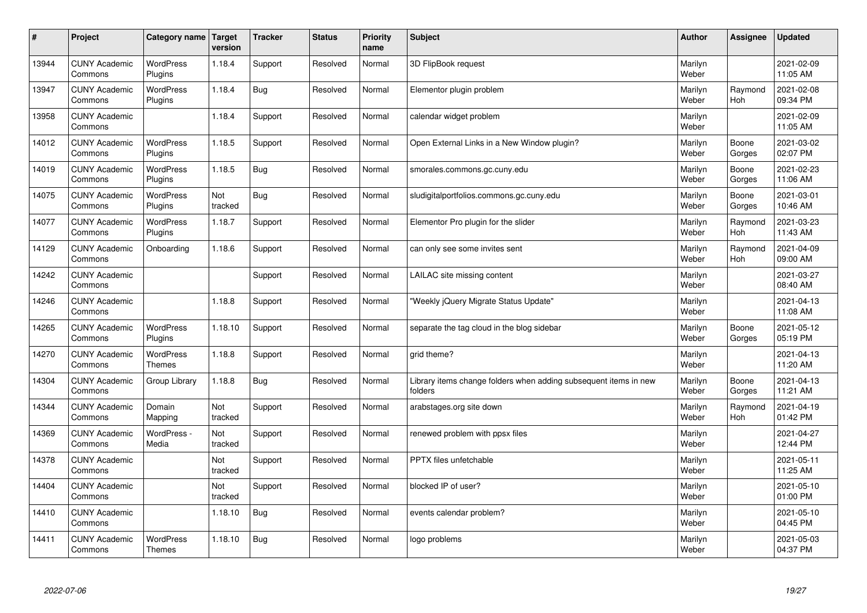| $\sharp$ | Project                         | Category name   Target            | version        | <b>Tracker</b> | <b>Status</b> | <b>Priority</b><br>name | <b>Subject</b>                                                              | <b>Author</b>    | <b>Assignee</b>       | <b>Updated</b>         |
|----------|---------------------------------|-----------------------------------|----------------|----------------|---------------|-------------------------|-----------------------------------------------------------------------------|------------------|-----------------------|------------------------|
| 13944    | <b>CUNY Academic</b><br>Commons | <b>WordPress</b><br>Plugins       | 1.18.4         | Support        | Resolved      | Normal                  | 3D FlipBook request                                                         | Marilyn<br>Weber |                       | 2021-02-09<br>11:05 AM |
| 13947    | <b>CUNY Academic</b><br>Commons | <b>WordPress</b><br>Plugins       | 1.18.4         | Bug            | Resolved      | Normal                  | Elementor plugin problem                                                    | Marilyn<br>Weber | Raymond<br>Hoh        | 2021-02-08<br>09:34 PM |
| 13958    | <b>CUNY Academic</b><br>Commons |                                   | 1.18.4         | Support        | Resolved      | Normal                  | calendar widget problem                                                     | Marilyn<br>Weber |                       | 2021-02-09<br>11:05 AM |
| 14012    | <b>CUNY Academic</b><br>Commons | <b>WordPress</b><br>Plugins       | 1.18.5         | Support        | Resolved      | Normal                  | Open External Links in a New Window plugin?                                 | Marilyn<br>Weber | Boone<br>Gorges       | 2021-03-02<br>02:07 PM |
| 14019    | <b>CUNY Academic</b><br>Commons | <b>WordPress</b><br>Plugins       | 1.18.5         | Bug            | Resolved      | Normal                  | smorales.commons.gc.cuny.edu                                                | Marilyn<br>Weber | Boone<br>Gorges       | 2021-02-23<br>11:06 AM |
| 14075    | <b>CUNY Academic</b><br>Commons | WordPress<br>Plugins              | Not<br>tracked | Bug            | Resolved      | Normal                  | sludigitalportfolios.commons.gc.cuny.edu                                    | Marilyn<br>Weber | Boone<br>Gorges       | 2021-03-01<br>10:46 AM |
| 14077    | <b>CUNY Academic</b><br>Commons | WordPress<br>Plugins              | 1.18.7         | Support        | Resolved      | Normal                  | Elementor Pro plugin for the slider                                         | Marilyn<br>Weber | Raymond<br>Hoh        | 2021-03-23<br>11:43 AM |
| 14129    | <b>CUNY Academic</b><br>Commons | Onboarding                        | 1.18.6         | Support        | Resolved      | Normal                  | can only see some invites sent                                              | Marilyn<br>Weber | Raymond<br>Hoh        | 2021-04-09<br>09:00 AM |
| 14242    | <b>CUNY Academic</b><br>Commons |                                   |                | Support        | Resolved      | Normal                  | LAILAC site missing content                                                 | Marilyn<br>Weber |                       | 2021-03-27<br>08:40 AM |
| 14246    | <b>CUNY Academic</b><br>Commons |                                   | 1.18.8         | Support        | Resolved      | Normal                  | 'Weekly jQuery Migrate Status Update"                                       | Marilyn<br>Weber |                       | 2021-04-13<br>11:08 AM |
| 14265    | <b>CUNY Academic</b><br>Commons | WordPress<br>Plugins              | 1.18.10        | Support        | Resolved      | Normal                  | separate the tag cloud in the blog sidebar                                  | Marilyn<br>Weber | Boone<br>Gorges       | 2021-05-12<br>05:19 PM |
| 14270    | <b>CUNY Academic</b><br>Commons | <b>WordPress</b><br><b>Themes</b> | 1.18.8         | Support        | Resolved      | Normal                  | grid theme?                                                                 | Marilyn<br>Weber |                       | 2021-04-13<br>11:20 AM |
| 14304    | <b>CUNY Academic</b><br>Commons | Group Library                     | 1.18.8         | Bug            | Resolved      | Normal                  | Library items change folders when adding subsequent items in new<br>folders | Marilyn<br>Weber | Boone<br>Gorges       | 2021-04-13<br>11:21 AM |
| 14344    | <b>CUNY Academic</b><br>Commons | Domain<br>Mapping                 | Not<br>tracked | Support        | Resolved      | Normal                  | arabstages.org site down                                                    | Marilyn<br>Weber | Raymond<br><b>Hoh</b> | 2021-04-19<br>01:42 PM |
| 14369    | <b>CUNY Academic</b><br>Commons | WordPress -<br>Media              | Not<br>tracked | Support        | Resolved      | Normal                  | renewed problem with ppsx files                                             | Marilyn<br>Weber |                       | 2021-04-27<br>12:44 PM |
| 14378    | <b>CUNY Academic</b><br>Commons |                                   | Not<br>tracked | Support        | Resolved      | Normal                  | PPTX files unfetchable                                                      | Marilyn<br>Weber |                       | 2021-05-11<br>11:25 AM |
| 14404    | <b>CUNY Academic</b><br>Commons |                                   | Not<br>tracked | Support        | Resolved      | Normal                  | blocked IP of user?                                                         | Marilyn<br>Weber |                       | 2021-05-10<br>01:00 PM |
| 14410    | <b>CUNY Academic</b><br>Commons |                                   | 1.18.10        | <b>Bug</b>     | Resolved      | Normal                  | events calendar problem?                                                    | Marilyn<br>Weber |                       | 2021-05-10<br>04:45 PM |
| 14411    | <b>CUNY Academic</b><br>Commons | <b>WordPress</b><br><b>Themes</b> | 1.18.10        | Bug            | Resolved      | Normal                  | logo problems                                                               | Marilyn<br>Weber |                       | 2021-05-03<br>04:37 PM |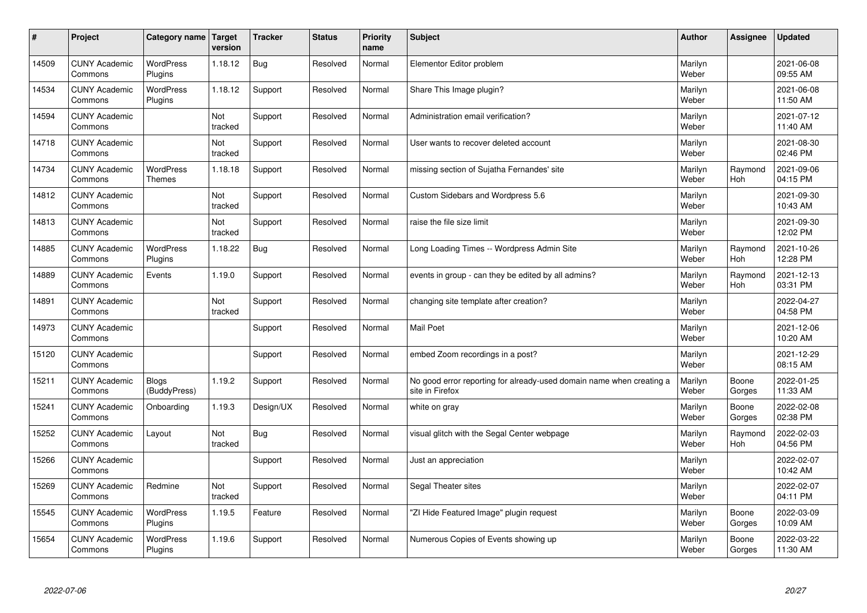| $\sharp$ | Project                         | Category name                     | Target<br>version | <b>Tracker</b> | <b>Status</b> | <b>Priority</b><br>name | <b>Subject</b>                                                                          | <b>Author</b>    | Assignee              | <b>Updated</b>         |
|----------|---------------------------------|-----------------------------------|-------------------|----------------|---------------|-------------------------|-----------------------------------------------------------------------------------------|------------------|-----------------------|------------------------|
| 14509    | <b>CUNY Academic</b><br>Commons | <b>WordPress</b><br>Plugins       | 1.18.12           | <b>Bug</b>     | Resolved      | Normal                  | Elementor Editor problem                                                                | Marilyn<br>Weber |                       | 2021-06-08<br>09:55 AM |
| 14534    | <b>CUNY Academic</b><br>Commons | <b>WordPress</b><br>Plugins       | 1.18.12           | Support        | Resolved      | Normal                  | Share This Image plugin?                                                                | Marilyn<br>Weber |                       | 2021-06-08<br>11:50 AM |
| 14594    | <b>CUNY Academic</b><br>Commons |                                   | Not<br>tracked    | Support        | Resolved      | Normal                  | Administration email verification?                                                      | Marilyn<br>Weber |                       | 2021-07-12<br>11:40 AM |
| 14718    | <b>CUNY Academic</b><br>Commons |                                   | Not<br>tracked    | Support        | Resolved      | Normal                  | User wants to recover deleted account                                                   | Marilyn<br>Weber |                       | 2021-08-30<br>02:46 PM |
| 14734    | <b>CUNY Academic</b><br>Commons | <b>WordPress</b><br><b>Themes</b> | 1.18.18           | Support        | Resolved      | Normal                  | missing section of Sujatha Fernandes' site                                              | Marilyn<br>Weber | Raymond<br>Hoh        | 2021-09-06<br>04:15 PM |
| 14812    | <b>CUNY Academic</b><br>Commons |                                   | Not<br>tracked    | Support        | Resolved      | Normal                  | Custom Sidebars and Wordpress 5.6                                                       | Marilyn<br>Weber |                       | 2021-09-30<br>10:43 AM |
| 14813    | <b>CUNY Academic</b><br>Commons |                                   | Not<br>tracked    | Support        | Resolved      | Normal                  | raise the file size limit                                                               | Marilyn<br>Weber |                       | 2021-09-30<br>12:02 PM |
| 14885    | <b>CUNY Academic</b><br>Commons | <b>WordPress</b><br>Plugins       | 1.18.22           | Bug            | Resolved      | Normal                  | Long Loading Times -- Wordpress Admin Site                                              | Marilyn<br>Weber | Raymond<br>Hoh        | 2021-10-26<br>12:28 PM |
| 14889    | <b>CUNY Academic</b><br>Commons | Events                            | 1.19.0            | Support        | Resolved      | Normal                  | events in group - can they be edited by all admins?                                     | Marilyn<br>Weber | Raymond<br><b>Hoh</b> | 2021-12-13<br>03:31 PM |
| 14891    | <b>CUNY Academic</b><br>Commons |                                   | Not<br>tracked    | Support        | Resolved      | Normal                  | changing site template after creation?                                                  | Marilyn<br>Weber |                       | 2022-04-27<br>04:58 PM |
| 14973    | <b>CUNY Academic</b><br>Commons |                                   |                   | Support        | Resolved      | Normal                  | Mail Poet                                                                               | Marilyn<br>Weber |                       | 2021-12-06<br>10:20 AM |
| 15120    | <b>CUNY Academic</b><br>Commons |                                   |                   | Support        | Resolved      | Normal                  | embed Zoom recordings in a post?                                                        | Marilyn<br>Weber |                       | 2021-12-29<br>08:15 AM |
| 15211    | <b>CUNY Academic</b><br>Commons | <b>Blogs</b><br>(BuddyPress)      | 1.19.2            | Support        | Resolved      | Normal                  | No good error reporting for already-used domain name when creating a<br>site in Firefox | Marilyn<br>Weber | Boone<br>Gorges       | 2022-01-25<br>11:33 AM |
| 15241    | <b>CUNY Academic</b><br>Commons | Onboarding                        | 1.19.3            | Design/UX      | Resolved      | Normal                  | white on gray                                                                           | Marilyn<br>Weber | Boone<br>Gorges       | 2022-02-08<br>02:38 PM |
| 15252    | <b>CUNY Academic</b><br>Commons | Layout                            | Not<br>tracked    | Bug            | Resolved      | Normal                  | visual glitch with the Segal Center webpage                                             | Marilyn<br>Weber | Raymond<br>Hoh        | 2022-02-03<br>04:56 PM |
| 15266    | <b>CUNY Academic</b><br>Commons |                                   |                   | Support        | Resolved      | Normal                  | Just an appreciation                                                                    | Marilyn<br>Weber |                       | 2022-02-07<br>10:42 AM |
| 15269    | <b>CUNY Academic</b><br>Commons | Redmine                           | Not<br>tracked    | Support        | Resolved      | Normal                  | Segal Theater sites                                                                     | Marilyn<br>Weber |                       | 2022-02-07<br>04:11 PM |
| 15545    | <b>CUNY Academic</b><br>Commons | <b>WordPress</b><br>Plugins       | 1.19.5            | Feature        | Resolved      | Normal                  | "ZI Hide Featured Image" plugin request                                                 | Marilyn<br>Weber | Boone<br>Gorges       | 2022-03-09<br>10:09 AM |
| 15654    | <b>CUNY Academic</b><br>Commons | WordPress<br>Plugins              | 1.19.6            | Support        | Resolved      | Normal                  | Numerous Copies of Events showing up                                                    | Marilyn<br>Weber | Boone<br>Gorges       | 2022-03-22<br>11:30 AM |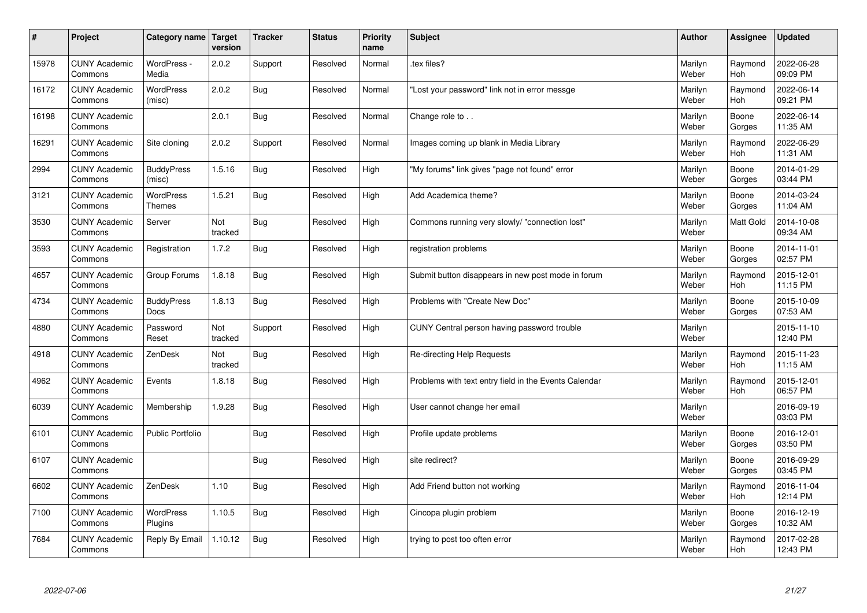| #     | Project                         | Category name   Target      | version        | <b>Tracker</b> | <b>Status</b> | Priority<br>name | <b>Subject</b>                                        | <b>Author</b>    | <b>Assignee</b>       | <b>Updated</b>         |
|-------|---------------------------------|-----------------------------|----------------|----------------|---------------|------------------|-------------------------------------------------------|------------------|-----------------------|------------------------|
| 15978 | <b>CUNY Academic</b><br>Commons | WordPress -<br>Media        | 2.0.2          | Support        | Resolved      | Normal           | tex files?                                            | Marilyn<br>Weber | Raymond<br><b>Hoh</b> | 2022-06-28<br>09:09 PM |
| 16172 | <b>CUNY Academic</b><br>Commons | <b>WordPress</b><br>(misc)  | 2.0.2          | <b>Bug</b>     | Resolved      | Normal           | 'Lost your password" link not in error messge         | Marilyn<br>Weber | Raymond<br>Hoh        | 2022-06-14<br>09:21 PM |
| 16198 | <b>CUNY Academic</b><br>Commons |                             | 2.0.1          | <b>Bug</b>     | Resolved      | Normal           | Change role to                                        | Marilyn<br>Weber | Boone<br>Gorges       | 2022-06-14<br>11:35 AM |
| 16291 | <b>CUNY Academic</b><br>Commons | Site cloning                | 2.0.2          | Support        | Resolved      | Normal           | Images coming up blank in Media Library               | Marilyn<br>Weber | Raymond<br><b>Hoh</b> | 2022-06-29<br>11:31 AM |
| 2994  | <b>CUNY Academic</b><br>Commons | <b>BuddyPress</b><br>(misc) | 1.5.16         | <b>Bug</b>     | Resolved      | High             | "My forums" link gives "page not found" error         | Marilyn<br>Weber | Boone<br>Gorges       | 2014-01-29<br>03:44 PM |
| 3121  | <b>CUNY Academic</b><br>Commons | <b>WordPress</b><br>Themes  | 1.5.21         | <b>Bug</b>     | Resolved      | High             | Add Academica theme?                                  | Marilyn<br>Weber | Boone<br>Gorges       | 2014-03-24<br>11:04 AM |
| 3530  | <b>CUNY Academic</b><br>Commons | Server                      | Not<br>tracked | Bug            | Resolved      | High             | Commons running very slowly/ "connection lost"        | Marilyn<br>Weber | <b>Matt Gold</b>      | 2014-10-08<br>09:34 AM |
| 3593  | <b>CUNY Academic</b><br>Commons | Registration                | 1.7.2          | <b>Bug</b>     | Resolved      | High             | registration problems                                 | Marilyn<br>Weber | Boone<br>Gorges       | 2014-11-01<br>02:57 PM |
| 4657  | <b>CUNY Academic</b><br>Commons | Group Forums                | 1.8.18         | <b>Bug</b>     | Resolved      | High             | Submit button disappears in new post mode in forum    | Marilyn<br>Weber | Raymond<br>Hoh        | 2015-12-01<br>11:15 PM |
| 4734  | <b>CUNY Academic</b><br>Commons | <b>BuddyPress</b><br>Docs   | 1.8.13         | <b>Bug</b>     | Resolved      | High             | Problems with "Create New Doc"                        | Marilyn<br>Weber | Boone<br>Gorges       | 2015-10-09<br>07:53 AM |
| 4880  | <b>CUNY Academic</b><br>Commons | Password<br>Reset           | Not<br>tracked | Support        | Resolved      | High             | CUNY Central person having password trouble           | Marilyn<br>Weber |                       | 2015-11-10<br>12:40 PM |
| 4918  | <b>CUNY Academic</b><br>Commons | ZenDesk                     | Not<br>tracked | Bug            | Resolved      | High             | Re-directing Help Requests                            | Marilyn<br>Weber | Raymond<br><b>Hoh</b> | 2015-11-23<br>11:15 AM |
| 4962  | <b>CUNY Academic</b><br>Commons | Events                      | 1.8.18         | <b>Bug</b>     | Resolved      | High             | Problems with text entry field in the Events Calendar | Marilyn<br>Weber | Raymond<br>Hoh        | 2015-12-01<br>06:57 PM |
| 6039  | <b>CUNY Academic</b><br>Commons | Membership                  | 1.9.28         | <b>Bug</b>     | Resolved      | High             | User cannot change her email                          | Marilyn<br>Weber |                       | 2016-09-19<br>03:03 PM |
| 6101  | <b>CUNY Academic</b><br>Commons | <b>Public Portfolio</b>     |                | Bug            | Resolved      | High             | Profile update problems                               | Marilyn<br>Weber | Boone<br>Gorges       | 2016-12-01<br>03:50 PM |
| 6107  | <b>CUNY Academic</b><br>Commons |                             |                | Bug            | Resolved      | High             | site redirect?                                        | Marilyn<br>Weber | Boone<br>Gorges       | 2016-09-29<br>03:45 PM |
| 6602  | <b>CUNY Academic</b><br>Commons | ZenDesk                     | 1.10           | <b>Bug</b>     | Resolved      | High             | Add Friend button not working                         | Marilyn<br>Weber | Raymond<br><b>Hoh</b> | 2016-11-04<br>12:14 PM |
| 7100  | <b>CUNY Academic</b><br>Commons | WordPress<br>Plugins        | 1.10.5         | <b>Bug</b>     | Resolved      | High             | Cincopa plugin problem                                | Marilyn<br>Weber | Boone<br>Gorges       | 2016-12-19<br>10:32 AM |
| 7684  | <b>CUNY Academic</b><br>Commons | Reply By Email              | 1.10.12        | Bug            | Resolved      | High             | trying to post too often error                        | Marilyn<br>Weber | Raymond<br>Hoh        | 2017-02-28<br>12:43 PM |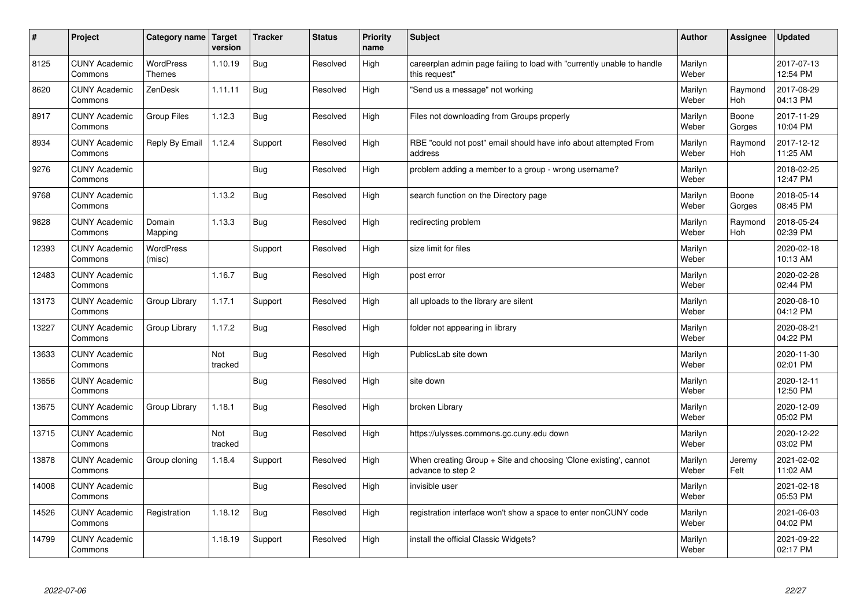| $\sharp$ | Project                         | Category name Target              | version        | <b>Tracker</b> | <b>Status</b> | <b>Priority</b><br>name | <b>Subject</b>                                                                          | <b>Author</b>    | <b>Assignee</b>       | <b>Updated</b>         |
|----------|---------------------------------|-----------------------------------|----------------|----------------|---------------|-------------------------|-----------------------------------------------------------------------------------------|------------------|-----------------------|------------------------|
| 8125     | <b>CUNY Academic</b><br>Commons | <b>WordPress</b><br><b>Themes</b> | 1.10.19        | Bug            | Resolved      | High                    | careerplan admin page failing to load with "currently unable to handle<br>this request" | Marilyn<br>Weber |                       | 2017-07-13<br>12:54 PM |
| 8620     | <b>CUNY Academic</b><br>Commons | ZenDesk                           | 1.11.11        | Bug            | Resolved      | High                    | 'Send us a message" not working                                                         | Marilyn<br>Weber | Raymond<br>Hoh        | 2017-08-29<br>04:13 PM |
| 8917     | <b>CUNY Academic</b><br>Commons | Group Files                       | 1.12.3         | Bug            | Resolved      | High                    | Files not downloading from Groups properly                                              | Marilyn<br>Weber | Boone<br>Gorges       | 2017-11-29<br>10:04 PM |
| 8934     | <b>CUNY Academic</b><br>Commons | Reply By Email                    | 1.12.4         | Support        | Resolved      | High                    | RBE "could not post" email should have info about attempted From<br>address             | Marilyn<br>Weber | Raymond<br><b>Hoh</b> | 2017-12-12<br>11:25 AM |
| 9276     | <b>CUNY Academic</b><br>Commons |                                   |                | Bug            | Resolved      | High                    | problem adding a member to a group - wrong username?                                    | Marilyn<br>Weber |                       | 2018-02-25<br>12:47 PM |
| 9768     | <b>CUNY Academic</b><br>Commons |                                   | 1.13.2         | Bug            | Resolved      | High                    | search function on the Directory page                                                   | Marilyn<br>Weber | Boone<br>Gorges       | 2018-05-14<br>08:45 PM |
| 9828     | <b>CUNY Academic</b><br>Commons | Domain<br>Mapping                 | 1.13.3         | Bug            | Resolved      | High                    | redirecting problem                                                                     | Marilyn<br>Weber | Raymond<br>Hoh        | 2018-05-24<br>02:39 PM |
| 12393    | <b>CUNY Academic</b><br>Commons | <b>WordPress</b><br>(misc)        |                | Support        | Resolved      | High                    | size limit for files                                                                    | Marilyn<br>Weber |                       | 2020-02-18<br>10:13 AM |
| 12483    | <b>CUNY Academic</b><br>Commons |                                   | 1.16.7         | Bug            | Resolved      | High                    | post error                                                                              | Marilyn<br>Weber |                       | 2020-02-28<br>02:44 PM |
| 13173    | <b>CUNY Academic</b><br>Commons | Group Library                     | 1.17.1         | Support        | Resolved      | High                    | all uploads to the library are silent                                                   | Marilyn<br>Weber |                       | 2020-08-10<br>04:12 PM |
| 13227    | <b>CUNY Academic</b><br>Commons | Group Library                     | 1.17.2         | Bug            | Resolved      | High                    | folder not appearing in library                                                         | Marilyn<br>Weber |                       | 2020-08-21<br>04:22 PM |
| 13633    | <b>CUNY Academic</b><br>Commons |                                   | Not<br>tracked | <b>Bug</b>     | Resolved      | High                    | PublicsLab site down                                                                    | Marilyn<br>Weber |                       | 2020-11-30<br>02:01 PM |
| 13656    | <b>CUNY Academic</b><br>Commons |                                   |                | Bug            | Resolved      | High                    | site down                                                                               | Marilyn<br>Weber |                       | 2020-12-11<br>12:50 PM |
| 13675    | <b>CUNY Academic</b><br>Commons | Group Library                     | 1.18.1         | Bug            | Resolved      | High                    | broken Library                                                                          | Marilyn<br>Weber |                       | 2020-12-09<br>05:02 PM |
| 13715    | <b>CUNY Academic</b><br>Commons |                                   | Not<br>tracked | Bug            | Resolved      | High                    | https://ulysses.commons.gc.cuny.edu down                                                | Marilyn<br>Weber |                       | 2020-12-22<br>03:02 PM |
| 13878    | <b>CUNY Academic</b><br>Commons | Group cloning                     | 1.18.4         | Support        | Resolved      | High                    | When creating Group + Site and choosing 'Clone existing', cannot<br>advance to step 2   | Marilyn<br>Weber | Jeremy<br>Felt        | 2021-02-02<br>11:02 AM |
| 14008    | <b>CUNY Academic</b><br>Commons |                                   |                | Bug            | Resolved      | High                    | invisible user                                                                          | Marilyn<br>Weber |                       | 2021-02-18<br>05:53 PM |
| 14526    | <b>CUNY Academic</b><br>Commons | Registration                      | 1.18.12        | Bug            | Resolved      | High                    | registration interface won't show a space to enter nonCUNY code                         | Marilyn<br>Weber |                       | 2021-06-03<br>04:02 PM |
| 14799    | <b>CUNY Academic</b><br>Commons |                                   | 1.18.19        | Support        | Resolved      | High                    | install the official Classic Widgets?                                                   | Marilyn<br>Weber |                       | 2021-09-22<br>02:17 PM |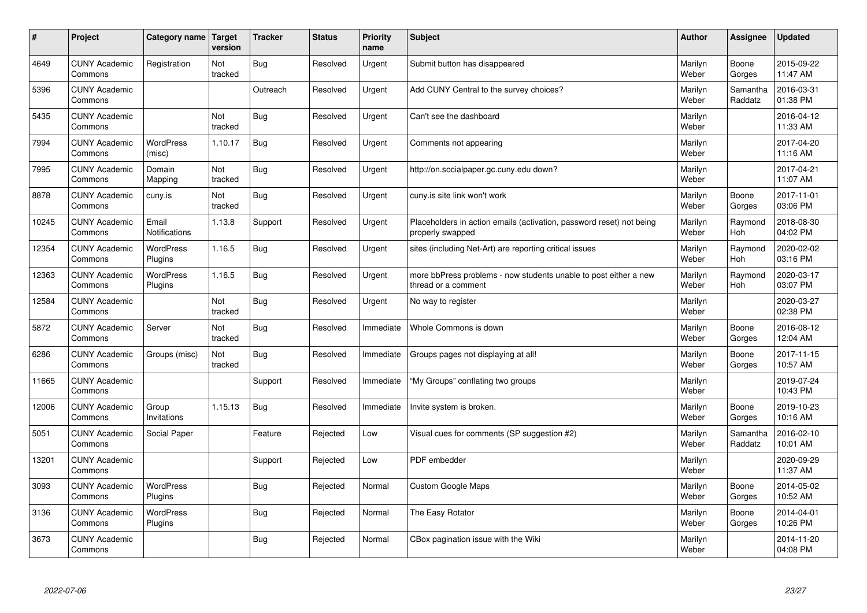| $\vert$ # | Project                         | Category name   Target      | version        | <b>Tracker</b> | <b>Status</b> | <b>Priority</b><br>name | <b>Subject</b>                                                                           | <b>Author</b>    | <b>Assignee</b>       | <b>Updated</b>         |
|-----------|---------------------------------|-----------------------------|----------------|----------------|---------------|-------------------------|------------------------------------------------------------------------------------------|------------------|-----------------------|------------------------|
| 4649      | <b>CUNY Academic</b><br>Commons | Registration                | Not<br>tracked | <b>Bug</b>     | Resolved      | Urgent                  | Submit button has disappeared                                                            | Marilyn<br>Weber | Boone<br>Gorges       | 2015-09-22<br>11:47 AM |
| 5396      | <b>CUNY Academic</b><br>Commons |                             |                | Outreach       | Resolved      | Urgent                  | Add CUNY Central to the survey choices?                                                  | Marilyn<br>Weber | Samantha<br>Raddatz   | 2016-03-31<br>01:38 PM |
| 5435      | <b>CUNY Academic</b><br>Commons |                             | Not<br>tracked | <b>Bug</b>     | Resolved      | Urgent                  | Can't see the dashboard                                                                  | Marilyn<br>Weber |                       | 2016-04-12<br>11:33 AM |
| 7994      | <b>CUNY Academic</b><br>Commons | <b>WordPress</b><br>(misc)  | 1.10.17        | Bug            | Resolved      | Urgent                  | Comments not appearing                                                                   | Marilyn<br>Weber |                       | 2017-04-20<br>11:16 AM |
| 7995      | <b>CUNY Academic</b><br>Commons | Domain<br>Mapping           | Not<br>tracked | Bug            | Resolved      | Urgent                  | http://on.socialpaper.gc.cuny.edu down?                                                  | Marilyn<br>Weber |                       | 2017-04-21<br>11:07 AM |
| 8878      | <b>CUNY Academic</b><br>Commons | cuny.is                     | Not<br>tracked | Bug            | Resolved      | Urgent                  | cuny is site link won't work                                                             | Marilyn<br>Weber | Boone<br>Gorges       | 2017-11-01<br>03:06 PM |
| 10245     | <b>CUNY Academic</b><br>Commons | Email<br>Notifications      | 1.13.8         | Support        | Resolved      | Urgent                  | Placeholders in action emails (activation, password reset) not being<br>properly swapped | Marilyn<br>Weber | Raymond<br>Hoh        | 2018-08-30<br>04:02 PM |
| 12354     | <b>CUNY Academic</b><br>Commons | <b>WordPress</b><br>Plugins | 1.16.5         | Bug            | Resolved      | Urgent                  | sites (including Net-Art) are reporting critical issues                                  | Marilyn<br>Weber | Raymond<br>Hoh        | 2020-02-02<br>03:16 PM |
| 12363     | <b>CUNY Academic</b><br>Commons | <b>WordPress</b><br>Plugins | 1.16.5         | Bug            | Resolved      | Urgent                  | more bbPress problems - now students unable to post either a new<br>thread or a comment  | Marilyn<br>Weber | Raymond<br><b>Hoh</b> | 2020-03-17<br>03:07 PM |
| 12584     | <b>CUNY Academic</b><br>Commons |                             | Not<br>tracked | <b>Bug</b>     | Resolved      | Urgent                  | No way to register                                                                       | Marilyn<br>Weber |                       | 2020-03-27<br>02:38 PM |
| 5872      | <b>CUNY Academic</b><br>Commons | Server                      | Not<br>tracked | Bug            | Resolved      | Immediate               | Whole Commons is down                                                                    | Marilyn<br>Weber | Boone<br>Gorges       | 2016-08-12<br>12:04 AM |
| 6286      | <b>CUNY Academic</b><br>Commons | Groups (misc)               | Not<br>tracked | <b>Bug</b>     | Resolved      | Immediate               | Groups pages not displaying at all!                                                      | Marilyn<br>Weber | Boone<br>Gorges       | 2017-11-15<br>10:57 AM |
| 11665     | <b>CUNY Academic</b><br>Commons |                             |                | Support        | Resolved      | Immediate               | "My Groups" conflating two groups                                                        | Marilyn<br>Weber |                       | 2019-07-24<br>10:43 PM |
| 12006     | <b>CUNY Academic</b><br>Commons | Group<br>Invitations        | 1.15.13        | <b>Bug</b>     | Resolved      | Immediate               | Invite system is broken.                                                                 | Marilyn<br>Weber | Boone<br>Gorges       | 2019-10-23<br>10:16 AM |
| 5051      | <b>CUNY Academic</b><br>Commons | Social Paper                |                | Feature        | Rejected      | Low                     | Visual cues for comments (SP suggestion #2)                                              | Marilyn<br>Weber | Samantha<br>Raddatz   | 2016-02-10<br>10:01 AM |
| 13201     | <b>CUNY Academic</b><br>Commons |                             |                | Support        | Rejected      | Low                     | PDF embedder                                                                             | Marilyn<br>Weber |                       | 2020-09-29<br>11:37 AM |
| 3093      | <b>CUNY Academic</b><br>Commons | <b>WordPress</b><br>Plugins |                | Bug            | Rejected      | Normal                  | <b>Custom Google Maps</b>                                                                | Marilyn<br>Weber | Boone<br>Gorges       | 2014-05-02<br>10:52 AM |
| 3136      | <b>CUNY Academic</b><br>Commons | WordPress<br>Plugins        |                | <b>Bug</b>     | Rejected      | Normal                  | The Easy Rotator                                                                         | Marilyn<br>Weber | Boone<br>Gorges       | 2014-04-01<br>10:26 PM |
| 3673      | <b>CUNY Academic</b><br>Commons |                             |                | <b>Bug</b>     | Rejected      | Normal                  | CBox pagination issue with the Wiki                                                      | Marilyn<br>Weber |                       | 2014-11-20<br>04:08 PM |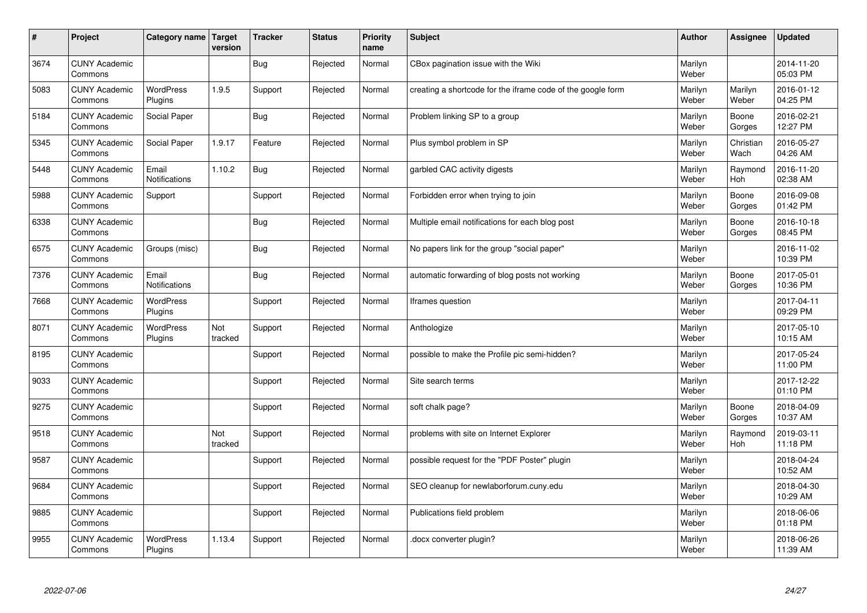| $\vert$ # | Project                         | Category name   Target        | version        | <b>Tracker</b> | <b>Status</b> | <b>Priority</b><br>name | <b>Subject</b>                                              | <b>Author</b>    | Assignee          | <b>Updated</b>         |
|-----------|---------------------------------|-------------------------------|----------------|----------------|---------------|-------------------------|-------------------------------------------------------------|------------------|-------------------|------------------------|
| 3674      | <b>CUNY Academic</b><br>Commons |                               |                | Bug            | Rejected      | Normal                  | CBox pagination issue with the Wiki                         | Marilyn<br>Weber |                   | 2014-11-20<br>05:03 PM |
| 5083      | <b>CUNY Academic</b><br>Commons | <b>WordPress</b><br>Plugins   | 1.9.5          | Support        | Rejected      | Normal                  | creating a shortcode for the iframe code of the google form | Marilyn<br>Weber | Marilyn<br>Weber  | 2016-01-12<br>04:25 PM |
| 5184      | <b>CUNY Academic</b><br>Commons | Social Paper                  |                | Bug            | Rejected      | Normal                  | Problem linking SP to a group                               | Marilyn<br>Weber | Boone<br>Gorges   | 2016-02-21<br>12:27 PM |
| 5345      | <b>CUNY Academic</b><br>Commons | Social Paper                  | 1.9.17         | Feature        | Rejected      | Normal                  | Plus symbol problem in SP                                   | Marilyn<br>Weber | Christian<br>Wach | 2016-05-27<br>04:26 AM |
| 5448      | <b>CUNY Academic</b><br>Commons | Email<br><b>Notifications</b> | 1.10.2         | <b>Bug</b>     | Rejected      | Normal                  | garbled CAC activity digests                                | Marilyn<br>Weber | Raymond<br>Hoh    | 2016-11-20<br>02:38 AM |
| 5988      | <b>CUNY Academic</b><br>Commons | Support                       |                | Support        | Rejected      | Normal                  | Forbidden error when trying to join                         | Marilyn<br>Weber | Boone<br>Gorges   | 2016-09-08<br>01:42 PM |
| 6338      | <b>CUNY Academic</b><br>Commons |                               |                | Bug            | Rejected      | Normal                  | Multiple email notifications for each blog post             | Marilyn<br>Weber | Boone<br>Gorges   | 2016-10-18<br>08:45 PM |
| 6575      | <b>CUNY Academic</b><br>Commons | Groups (misc)                 |                | Bug            | Rejected      | Normal                  | No papers link for the group "social paper"                 | Marilyn<br>Weber |                   | 2016-11-02<br>10:39 PM |
| 7376      | <b>CUNY Academic</b><br>Commons | Email<br>Notifications        |                | Bug            | Rejected      | Normal                  | automatic forwarding of blog posts not working              | Marilyn<br>Weber | Boone<br>Gorges   | 2017-05-01<br>10:36 PM |
| 7668      | <b>CUNY Academic</b><br>Commons | WordPress<br>Plugins          |                | Support        | Rejected      | Normal                  | Iframes question                                            | Marilyn<br>Weber |                   | 2017-04-11<br>09:29 PM |
| 8071      | <b>CUNY Academic</b><br>Commons | <b>WordPress</b><br>Plugins   | Not<br>tracked | Support        | Rejected      | Normal                  | Anthologize                                                 | Marilyn<br>Weber |                   | 2017-05-10<br>10:15 AM |
| 8195      | <b>CUNY Academic</b><br>Commons |                               |                | Support        | Rejected      | Normal                  | possible to make the Profile pic semi-hidden?               | Marilyn<br>Weber |                   | 2017-05-24<br>11:00 PM |
| 9033      | <b>CUNY Academic</b><br>Commons |                               |                | Support        | Rejected      | Normal                  | Site search terms                                           | Marilyn<br>Weber |                   | 2017-12-22<br>01:10 PM |
| 9275      | <b>CUNY Academic</b><br>Commons |                               |                | Support        | Rejected      | Normal                  | soft chalk page?                                            | Marilyn<br>Weber | Boone<br>Gorges   | 2018-04-09<br>10:37 AM |
| 9518      | <b>CUNY Academic</b><br>Commons |                               | Not<br>tracked | Support        | Rejected      | Normal                  | problems with site on Internet Explorer                     | Marilyn<br>Weber | Raymond<br>Hoh    | 2019-03-11<br>11:18 PM |
| 9587      | <b>CUNY Academic</b><br>Commons |                               |                | Support        | Rejected      | Normal                  | possible request for the "PDF Poster" plugin                | Marilyn<br>Weber |                   | 2018-04-24<br>10:52 AM |
| 9684      | <b>CUNY Academic</b><br>Commons |                               |                | Support        | Rejected      | Normal                  | SEO cleanup for newlaborforum.cuny.edu                      | Marilyn<br>Weber |                   | 2018-04-30<br>10:29 AM |
| 9885      | <b>CUNY Academic</b><br>Commons |                               |                | Support        | Rejected      | Normal                  | Publications field problem                                  | Marilyn<br>Weber |                   | 2018-06-06<br>01:18 PM |
| 9955      | <b>CUNY Academic</b><br>Commons | <b>WordPress</b><br>Plugins   | 1.13.4         | Support        | Rejected      | Normal                  | docx converter plugin?                                      | Marilyn<br>Weber |                   | 2018-06-26<br>11:39 AM |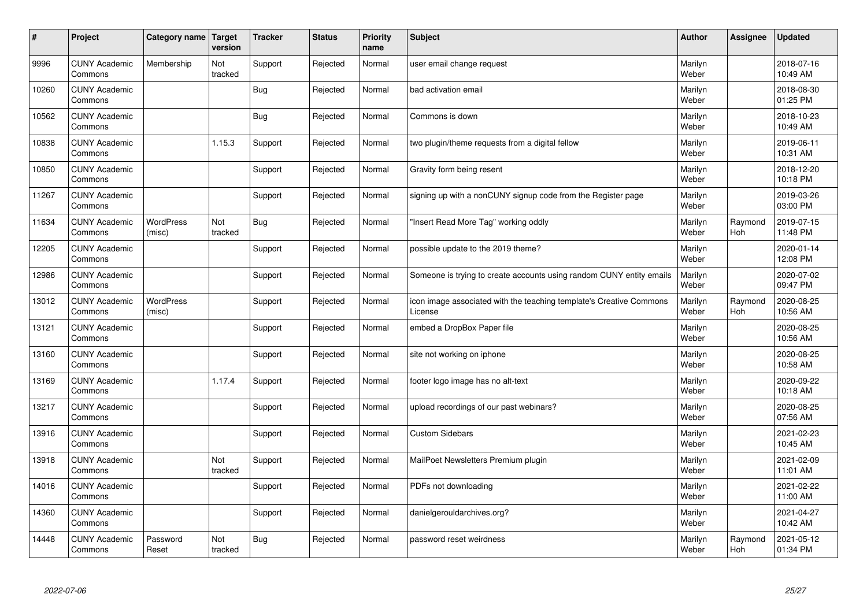| $\vert$ # | Project                         | Category name   Target     | version        | <b>Tracker</b> | <b>Status</b> | <b>Priority</b><br>name | <b>Subject</b>                                                                 | <b>Author</b>    | Assignee       | <b>Updated</b>         |
|-----------|---------------------------------|----------------------------|----------------|----------------|---------------|-------------------------|--------------------------------------------------------------------------------|------------------|----------------|------------------------|
| 9996      | <b>CUNY Academic</b><br>Commons | Membership                 | Not<br>tracked | Support        | Rejected      | Normal                  | user email change request                                                      | Marilyn<br>Weber |                | 2018-07-16<br>10:49 AM |
| 10260     | <b>CUNY Academic</b><br>Commons |                            |                | Bug            | Rejected      | Normal                  | bad activation email                                                           | Marilyn<br>Weber |                | 2018-08-30<br>01:25 PM |
| 10562     | <b>CUNY Academic</b><br>Commons |                            |                | <b>Bug</b>     | Rejected      | Normal                  | Commons is down                                                                | Marilyn<br>Weber |                | 2018-10-23<br>10:49 AM |
| 10838     | <b>CUNY Academic</b><br>Commons |                            | 1.15.3         | Support        | Rejected      | Normal                  | two plugin/theme requests from a digital fellow                                | Marilyn<br>Weber |                | 2019-06-11<br>10:31 AM |
| 10850     | <b>CUNY Academic</b><br>Commons |                            |                | Support        | Rejected      | Normal                  | Gravity form being resent                                                      | Marilyn<br>Weber |                | 2018-12-20<br>10:18 PM |
| 11267     | <b>CUNY Academic</b><br>Commons |                            |                | Support        | Rejected      | Normal                  | signing up with a nonCUNY signup code from the Register page                   | Marilyn<br>Weber |                | 2019-03-26<br>03:00 PM |
| 11634     | <b>CUNY Academic</b><br>Commons | <b>WordPress</b><br>(misc) | Not<br>tracked | Bug            | Rejected      | Normal                  | "Insert Read More Tag" working oddly                                           | Marilyn<br>Weber | Raymond<br>Hoh | 2019-07-15<br>11:48 PM |
| 12205     | <b>CUNY Academic</b><br>Commons |                            |                | Support        | Rejected      | Normal                  | possible update to the 2019 theme?                                             | Marilyn<br>Weber |                | 2020-01-14<br>12:08 PM |
| 12986     | <b>CUNY Academic</b><br>Commons |                            |                | Support        | Rejected      | Normal                  | Someone is trying to create accounts using random CUNY entity emails           | Marilyn<br>Weber |                | 2020-07-02<br>09:47 PM |
| 13012     | <b>CUNY Academic</b><br>Commons | <b>WordPress</b><br>(misc) |                | Support        | Rejected      | Normal                  | icon image associated with the teaching template's Creative Commons<br>License | Marilyn<br>Weber | Raymond<br>Hoh | 2020-08-25<br>10:56 AM |
| 13121     | <b>CUNY Academic</b><br>Commons |                            |                | Support        | Rejected      | Normal                  | embed a DropBox Paper file                                                     | Marilyn<br>Weber |                | 2020-08-25<br>10:56 AM |
| 13160     | <b>CUNY Academic</b><br>Commons |                            |                | Support        | Rejected      | Normal                  | site not working on iphone                                                     | Marilyn<br>Weber |                | 2020-08-25<br>10:58 AM |
| 13169     | <b>CUNY Academic</b><br>Commons |                            | 1.17.4         | Support        | Rejected      | Normal                  | footer logo image has no alt-text                                              | Marilyn<br>Weber |                | 2020-09-22<br>10:18 AM |
| 13217     | <b>CUNY Academic</b><br>Commons |                            |                | Support        | Rejected      | Normal                  | upload recordings of our past webinars?                                        | Marilyn<br>Weber |                | 2020-08-25<br>07:56 AM |
| 13916     | <b>CUNY Academic</b><br>Commons |                            |                | Support        | Rejected      | Normal                  | <b>Custom Sidebars</b>                                                         | Marilyn<br>Weber |                | 2021-02-23<br>10:45 AM |
| 13918     | <b>CUNY Academic</b><br>Commons |                            | Not<br>tracked | Support        | Rejected      | Normal                  | MailPoet Newsletters Premium plugin                                            | Marilyn<br>Weber |                | 2021-02-09<br>11:01 AM |
| 14016     | <b>CUNY Academic</b><br>Commons |                            |                | Support        | Rejected      | Normal                  | PDFs not downloading                                                           | Marilyn<br>Weber |                | 2021-02-22<br>11:00 AM |
| 14360     | <b>CUNY Academic</b><br>Commons |                            |                | Support        | Rejected      | Normal                  | danielgerouldarchives.org?                                                     | Marilyn<br>Weber |                | 2021-04-27<br>10:42 AM |
| 14448     | <b>CUNY Academic</b><br>Commons | Password<br>Reset          | Not<br>tracked | <b>Bug</b>     | Rejected      | Normal                  | password reset weirdness                                                       | Marilyn<br>Weber | Raymond<br>Hoh | 2021-05-12<br>01:34 PM |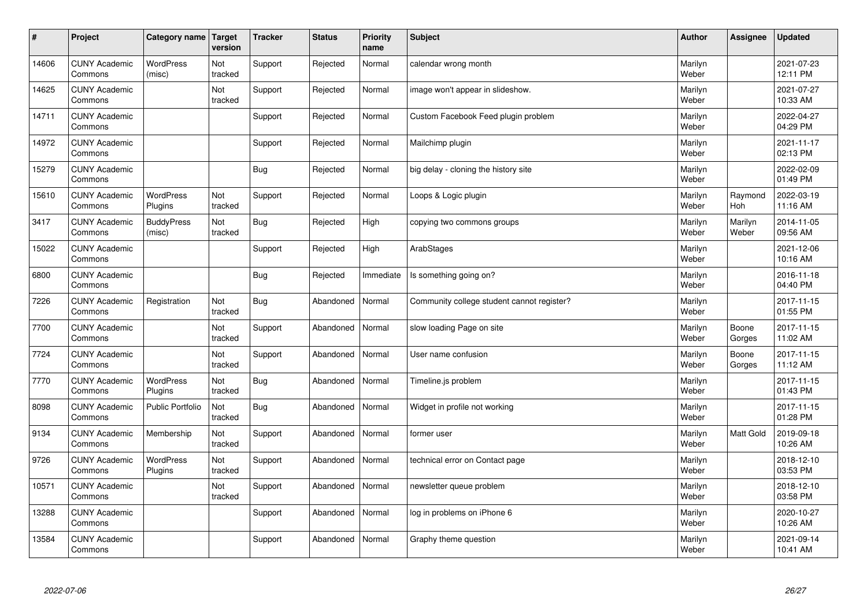| $\sharp$ | Project                         | Category name   Target      | version        | <b>Tracker</b> | <b>Status</b> | <b>Priority</b><br>name | <b>Subject</b>                             | <b>Author</b>    | Assignee              | <b>Updated</b>         |
|----------|---------------------------------|-----------------------------|----------------|----------------|---------------|-------------------------|--------------------------------------------|------------------|-----------------------|------------------------|
| 14606    | <b>CUNY Academic</b><br>Commons | <b>WordPress</b><br>(misc)  | Not<br>tracked | Support        | Rejected      | Normal                  | calendar wrong month                       | Marilyn<br>Weber |                       | 2021-07-23<br>12:11 PM |
| 14625    | <b>CUNY Academic</b><br>Commons |                             | Not<br>tracked | Support        | Rejected      | Normal                  | image won't appear in slideshow.           | Marilyn<br>Weber |                       | 2021-07-27<br>10:33 AM |
| 14711    | <b>CUNY Academic</b><br>Commons |                             |                | Support        | Rejected      | Normal                  | Custom Facebook Feed plugin problem        | Marilyn<br>Weber |                       | 2022-04-27<br>04:29 PM |
| 14972    | <b>CUNY Academic</b><br>Commons |                             |                | Support        | Rejected      | Normal                  | Mailchimp plugin                           | Marilyn<br>Weber |                       | 2021-11-17<br>02:13 PM |
| 15279    | <b>CUNY Academic</b><br>Commons |                             |                | Bug            | Rejected      | Normal                  | big delay - cloning the history site       | Marilyn<br>Weber |                       | 2022-02-09<br>01:49 PM |
| 15610    | <b>CUNY Academic</b><br>Commons | <b>WordPress</b><br>Plugins | Not<br>tracked | Support        | Rejected      | Normal                  | Loops & Logic plugin                       | Marilyn<br>Weber | Raymond<br><b>Hoh</b> | 2022-03-19<br>11:16 AM |
| 3417     | <b>CUNY Academic</b><br>Commons | <b>BuddyPress</b><br>(misc) | Not<br>tracked | Bug            | Rejected      | High                    | copying two commons groups                 | Marilyn<br>Weber | Marilyn<br>Weber      | 2014-11-05<br>09:56 AM |
| 15022    | <b>CUNY Academic</b><br>Commons |                             |                | Support        | Rejected      | High                    | ArabStages                                 | Marilyn<br>Weber |                       | 2021-12-06<br>10:16 AM |
| 6800     | <b>CUNY Academic</b><br>Commons |                             |                | Bug            | Rejected      | Immediate               | Is something going on?                     | Marilyn<br>Weber |                       | 2016-11-18<br>04:40 PM |
| 7226     | <b>CUNY Academic</b><br>Commons | Registration                | Not<br>tracked | <b>Bug</b>     | Abandoned     | Normal                  | Community college student cannot register? | Marilyn<br>Weber |                       | 2017-11-15<br>01:55 PM |
| 7700     | <b>CUNY Academic</b><br>Commons |                             | Not<br>tracked | Support        | Abandoned     | Normal                  | slow loading Page on site                  | Marilyn<br>Weber | Boone<br>Gorges       | 2017-11-15<br>11:02 AM |
| 7724     | <b>CUNY Academic</b><br>Commons |                             | Not<br>tracked | Support        | Abandoned     | Normal                  | User name confusion                        | Marilyn<br>Weber | Boone<br>Gorges       | 2017-11-15<br>11:12 AM |
| 7770     | <b>CUNY Academic</b><br>Commons | <b>WordPress</b><br>Plugins | Not<br>tracked | <b>Bug</b>     | Abandoned     | Normal                  | Timeline.js problem                        | Marilyn<br>Weber |                       | 2017-11-15<br>01:43 PM |
| 8098     | <b>CUNY Academic</b><br>Commons | Public Portfolio            | Not<br>tracked | <b>Bug</b>     | Abandoned     | Normal                  | Widget in profile not working              | Marilyn<br>Weber |                       | 2017-11-15<br>01:28 PM |
| 9134     | <b>CUNY Academic</b><br>Commons | Membership                  | Not<br>tracked | Support        | Abandoned     | Normal                  | former user                                | Marilyn<br>Weber | <b>Matt Gold</b>      | 2019-09-18<br>10:26 AM |
| 9726     | <b>CUNY Academic</b><br>Commons | <b>WordPress</b><br>Plugins | Not<br>tracked | Support        | Abandoned     | Normal                  | technical error on Contact page            | Marilyn<br>Weber |                       | 2018-12-10<br>03:53 PM |
| 10571    | <b>CUNY Academic</b><br>Commons |                             | Not<br>tracked | Support        | Abandoned     | Normal                  | newsletter queue problem                   | Marilyn<br>Weber |                       | 2018-12-10<br>03:58 PM |
| 13288    | <b>CUNY Academic</b><br>Commons |                             |                | Support        | Abandoned     | Normal                  | log in problems on iPhone 6                | Marilyn<br>Weber |                       | 2020-10-27<br>10:26 AM |
| 13584    | <b>CUNY Academic</b><br>Commons |                             |                | Support        | Abandoned     | Normal                  | Graphy theme question                      | Marilyn<br>Weber |                       | 2021-09-14<br>10:41 AM |